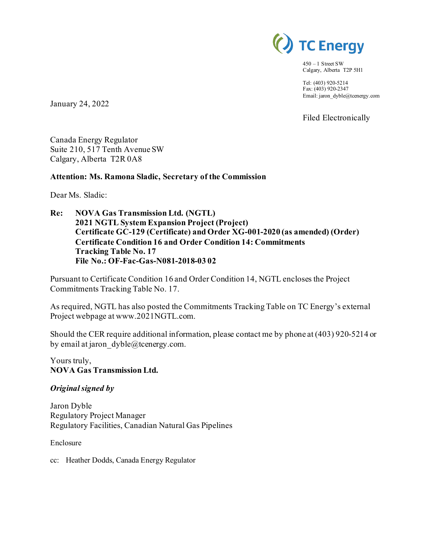

 $450 - 1$  Street SW Calgary, Alberta T2P 5H1

Tel: (403) 920-5214 Fax: (403) 920-2347 Email: jaron\_dyble@tcenergy.com

Filed Electronically

Canada Energy Regulator Suite 210, 517 Tenth Avenue SW

Calgary, Alberta T2R 0A8

## **Attention: Ms. Ramona Sladic, Secretary of the Commission**

Dear Ms. Sladic:

January 24, 2022

**Re: NOVA Gas Transmission Ltd. (NGTL) 2021 NGTL System Expansion Project (Project) Certificate GC-129 (Certificate) and Order XG-001-2020 (as amended) (Order) Certificate Condition 16 and Order Condition 14: Commitments Tracking Table No. 17 File No.: OF-Fac-Gas-N081-2018-03 02**

Pursuant to Certificate Condition 16 and Order Condition 14, NGTL encloses the Project Commitments Tracking Table No. 17.

As required, NGTL has also posted the Commitments Tracking Table on TC Energy's external Project webpage at www.2021NGTL.com.

Should the CER require additional information, please contact me by phone at (403) 920-5214 or by email at jaron  $dyble@tcentery.com$ .

Yours truly, **NOVA Gas Transmission Ltd.**

### *Original signed by*

Jaron Dyble Regulatory Project Manager Regulatory Facilities, Canadian Natural Gas Pipelines

Enclosure

cc: Heather Dodds, Canada Energy Regulator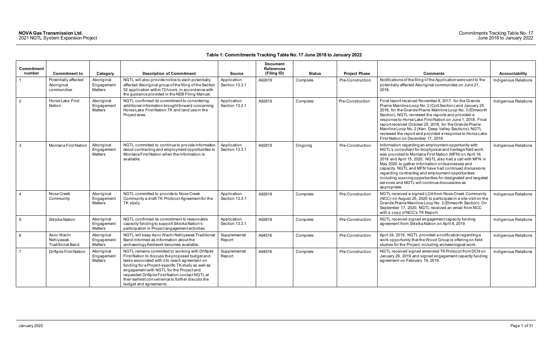# **Table 1: Commitments Tracking Table No. 17 June 2018 to January 2022**

| <b>Commitment</b> |                                                     |                                            |                                                                                                                                                                                                                                                                                                                                                                                            |                               | <b>Document</b><br><b>References</b> |               |                      |                                                                                                                                                                                                                                                                                                                                                                                                                                                                                                                                                |                       |
|-------------------|-----------------------------------------------------|--------------------------------------------|--------------------------------------------------------------------------------------------------------------------------------------------------------------------------------------------------------------------------------------------------------------------------------------------------------------------------------------------------------------------------------------------|-------------------------------|--------------------------------------|---------------|----------------------|------------------------------------------------------------------------------------------------------------------------------------------------------------------------------------------------------------------------------------------------------------------------------------------------------------------------------------------------------------------------------------------------------------------------------------------------------------------------------------------------------------------------------------------------|-----------------------|
| number            | <b>Commitment to</b>                                | Category                                   | <b>Description of Commitment</b>                                                                                                                                                                                                                                                                                                                                                           | <b>Source</b>                 | (Filing ID)                          | <b>Status</b> | <b>Project Phase</b> | <b>Comments</b>                                                                                                                                                                                                                                                                                                                                                                                                                                                                                                                                | <b>Accountability</b> |
| $\overline{1}$    | Potentially affected<br>Aboriginal<br>communities   | Aboriginal<br>Engagement<br>Matters        | NGTL will also provide notice to each potentially<br>affected Aboriginal group of the filing of the Section<br>52 application within 72 hours, in accordance with<br>the guidance provided in the NEB Filing Manual.                                                                                                                                                                       | Application<br>Section 13.3.1 | A92619                               | Complete      | Pre-Construction     | Notifications of the filing of the Application were sent to the<br>potentially affected Aboriginal communities on June 21,<br>2018.                                                                                                                                                                                                                                                                                                                                                                                                            | Indigenous Relations  |
| $\vert$ 2         | Horse Lake First<br>Nation                          | Aboriginal<br>Engagemen<br><b>Matters</b>  | NGTL confirmed its commitment to considering<br>additional information brought forward concerning<br>Horse Lake First Nation TK and land use in the<br>Project area.                                                                                                                                                                                                                       | Application<br>Section 13.3.1 | A92619                               | Complete      | Pre-Construction     | Final report received November 8, 2017, for the Grande<br>Prairie Mainline Loop No. 2 (Colt Section) and January 25,<br>2018, for the Grande Prairie Mainline Loop No. 3 (Elmworth<br>Section). NGTL reviewed the reports and provided a<br>response to Horse Lake First Nation on June 1, 2018. Final<br>report received October 25, 2018, for the Grande Prairie<br>Mainline Loop No. 2 (Karr, Deep Valley Sections). NGTL<br>reviewed the report and provided a response to Horse Lake<br>First Nation on December 17, 2018.                | Indigenous Relations  |
| $\mathbf{3}$      | Montana First Nation                                | Aboriginal<br>Engagement<br><b>Matters</b> | NGTL committed to continue to provide information<br>about contracting and employment opportunities to<br>Montana First Nation when the information is<br>available.                                                                                                                                                                                                                       | Application<br>Section 13.3.1 | A92619                               | Ongoing       | Pre-Construction     | Information regarding an employment opportunity with<br>NGTL's consultant for biophysical and heritage field work<br>was provided to Montana First Nation (MFN) on April 16,<br>2018 and April 15, 2020. NGTL also had a call with MFN in<br>May 2020 to gather information on businesses and<br>capacity. NGTL and MFN have had continued discussions<br>regarding contracting and employment opportunities<br>including sourcing opportunities for designated and targeted<br>services and NGTL will continue discussions as<br>appropriate. | Indigenous Relations  |
| $\overline{4}$    | Nose Creek<br>Community                             | Aboriginal<br>Engagement<br>Matters        | NGTL committed to provide to Nose Creek<br>Community a draft TK Protocol Agreement for the<br>TK study.                                                                                                                                                                                                                                                                                    | Application<br>Section 13.3.1 | A92619                               | Complete      | Pre-Construction     | NGTL received a signed LOA from Nose Creek Community<br>(NCC) on August 25, 2020 to participate in a site visit on the<br>Grande Prairie Mainline Loop No. 3 (Elmworth Section). On<br>September 17, 2020, NGTL received an email from NCC<br>with a copy of NCC's TK Report.                                                                                                                                                                                                                                                                  | Indigenous Relations  |
| 5                 | Siksika Nation                                      | Aboriginal<br>Engagement<br><b>Matters</b> | NGTL confirmed its commitment to reasonable<br>capacity funding to support Siksika Nation's<br>participation in Project engagement activities.                                                                                                                                                                                                                                             | Application<br>Section 13.3.1 | A92619                               | Complete      | Pre-Construction     | NGTL received signed engagement capacity funding<br>agreement from Siksika Nation on April 8, 2019.                                                                                                                                                                                                                                                                                                                                                                                                                                            | Indigenous Relations  |
| 6 <sup>6</sup>    | Asini Wachi<br>Nehiyawak<br><b>Traditional Band</b> | Aboriginal<br>Engagemen<br>Matters         | NGTL will keep Asini Wachi Nehiyawak Traditional<br>Band informed as information about the<br>archaeology fieldwork becomes available.                                                                                                                                                                                                                                                     | Supplemental<br>Report        | A94516                               | Complete      | Pre-Construction     | April 24, 2019, NGTL provided a notification regarding a<br>work opportunity that the Wood Group is offering on field<br>studies for the Project, including archaeological work.                                                                                                                                                                                                                                                                                                                                                               | Indigenous Relations  |
| $\overline{7}$    | Driftpile First Nation                              | Aboriginal<br>Engagemen<br>Matters         | NGTL remains committed to working with Driftpile<br>First Nation to discuss the proposed budget and<br>tasks associated with it to reach agreement on<br>funding for a Project-specific TK study as well as<br>engagement with NGTL for the Project and<br>requested Driftpile First Nation contact NGTL at<br>their earliest convenience to further discuss the<br>budget and agreements. | Supplemental<br>Report        | A94516                               | Complete      | Pre-Construction     | NGTL received signed amended TK Protocol from DCN on<br>January 29, 2019 and signed engagement capacity funding<br>agreement on February 19, 2019.                                                                                                                                                                                                                                                                                                                                                                                             | Indigenous Relations  |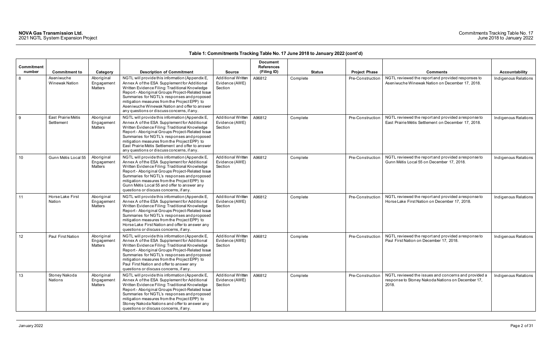## Commitments Tracking Table No. 17 June 2018 to January 2022

|                      |                                     |                                            |                                                                                                                                                                                                                                                                                                                                                                                                         |                                                        |                                                     | $\frac{1}{2}$ and $\frac{1}{2}$ . Communications that they have not the future form of $\frac{1}{2}$ and $\frac{1}{2}$ |                      |                                                                                                                    |                      |
|----------------------|-------------------------------------|--------------------------------------------|---------------------------------------------------------------------------------------------------------------------------------------------------------------------------------------------------------------------------------------------------------------------------------------------------------------------------------------------------------------------------------------------------------|--------------------------------------------------------|-----------------------------------------------------|------------------------------------------------------------------------------------------------------------------------|----------------------|--------------------------------------------------------------------------------------------------------------------|----------------------|
| Commitment<br>number | <b>Commitment to</b>                | Category                                   | <b>Description of Commitment</b>                                                                                                                                                                                                                                                                                                                                                                        | <b>Source</b>                                          | <b>Document</b><br><b>References</b><br>(Filing ID) | <b>Status</b>                                                                                                          | <b>Project Phase</b> | <b>Comments</b>                                                                                                    | Accountability       |
| 8                    | Aseniwuche<br><b>Winewak Nation</b> | Aboriginal<br>Engagement<br><b>Matters</b> | NGTL will provide this information (Appendix E,<br>Annex A of the ESA Supplement for Additional<br>Written Evidence Filing: Traditional Knowledge<br>Report - Aboriginal Groups Project-Related Issue<br>Summaries for NGTL's responses and proposed<br>mitigation measures from the Project EPP) to<br>Aseniwuche Winewak Nation and offer to answer<br>any questions or discuss concerns, if any      | Additional Written<br>Evidence (AWE)<br>Section        | A96812                                              | Complete                                                                                                               | Pre-Construction     | NGTL reviewed the report and provided responses to<br>Aseniwuche Winewak Nation on December 17, 2018.              | Indigenous Relations |
| - 9                  | East Prairie Métis<br>Settlement    | Aboriginal<br>Engagement<br><b>Matters</b> | NGTL will provide this information (Appendix E,<br>Annex A of the ESA Supplement for Additional<br>Written Evidence Filing: Traditional Knowledge<br>Report - Aboriginal Groups Project-Related Issue<br>Summaries for NGTL's responses and proposed<br>mitigation measures from the Project EPP) to<br>East Prairie Métis Settlement and offer to answer<br>any questions or discuss concerns, if any. | Additional Written<br>Evidence (AWE)<br>Section        | A96812                                              | Complete                                                                                                               | Pre-Construction     | NGTL reviewed the report and provided a response to<br>East Prairie Métis Settlement on December 17, 2018.         | Indigenous Relations |
| 10                   | Gunn Métis Local 55                 | Aboriginal<br>Engagement<br><b>Matters</b> | NGTL will provide this information (Appendix E,<br>Annex A of the ESA Supplement for Additional<br>Written Evidence Filing: Traditional Knowledge<br>Report - Aboriginal Groups Project-Related Issue<br>Summaries for NGTL's responses and proposed<br>mitigation measures from the Project EPP) to<br>Gunn Métis Local 55 and offer to answer any<br>questions or discuss concerns, if any.           | <b>Additional Written</b><br>Evidence (AWE)<br>Section | A96812                                              | Complete                                                                                                               | Pre-Construction     | NGTL reviewed the report and provided a response to<br>Gunn Métis Local 55 on December 17, 2018.                   | Indigenous Relations |
| 11                   | Horse Lake First<br>Nation          | Aboriginal<br>Engagement<br><b>Matters</b> | NGTL will provide this information (Appendix E,<br>Annex A of the ESA Supplement for Additional<br>Written Evidence Filing: Traditional Knowledge<br>Report - Aboriginal Groups Project-Related Issue<br>Summaries for NGTL's responses and proposed<br>mitigation measures from the Project EPP) to<br>Horse Lake First Nation and offer to answer any<br>questions or discuss concerns, if any.       | <b>Additional Written</b><br>Evidence (AWE)<br>Section | A96812                                              | Complete                                                                                                               | Pre-Construction     | NGTL reviewed the report and provided a response to<br>Horse Lake First Nation on December 17, 2018.               | Indigenous Relations |
| 12                   | Paul First Nation                   | Aboriginal<br>Engagement<br>Matters        | NGTL will provide this information (Appendix E,<br>Annex A of the ESA Supplement for Additional<br>Written Evidence Filing: Traditional Knowledge<br>Report - Aboriginal Groups Project-Related Issue<br>Summaries for NGTL's responses and proposed<br>mitigation measures from the Project EPP) to<br>Paul First Nation and offer to answer any<br>questions or discuss concerns, if any.             | Additional Written<br>Evidence (AWE)<br>Section        | A96812                                              | Complete                                                                                                               | Pre-Construction     | NGTL reviewed the report and provided a response to<br>Paul First Nation on December 17, 2018.                     | Indigenous Relations |
| 13                   | Stoney Nakoda<br>Nations            | Aboriginal<br>Engagement<br>Matters        | NGTL will provide this information (Appendix E,<br>Annex A of the ESA Supplement for Additional<br>Written Evidence Filing: Traditional Knowledge<br>Report - Aboriginal Groups Project-Related Issue<br>Summaries for NGTL's responses and proposed<br>mitigation measures from the Project EPP) to<br>Stoney Nakoda Nations and offer to answer any<br>questions or discuss concerns, if any.         | Additional Written<br>Evidence (AWE)<br>Section        | A96812                                              | Complete                                                                                                               | Pre-Construction     | NGTL reviewed the issues and concerns and provided a<br>response to Stoney Nakoda Nations on December 17,<br>2018. | Indigenous Relations |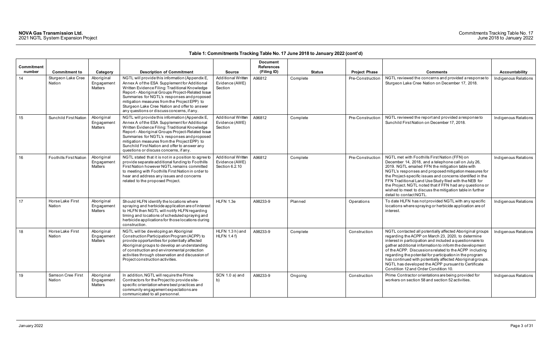## Commitments Tracking Table No. 17 June 2018 to January 2022

| Commitment<br>number | <b>Commitment to</b>          | Category                                   | <b>Description of Commitment</b>                                                                                                                                                                                                                                                                                                                                                                    | <b>Source</b>                                                 | <b>Document</b><br><b>References</b><br>(Filing ID) | <b>Status</b> | <b>Project Phase</b> | <b>Comments</b>                                                                                                                                                                                                                                                                                                                                                                                                                                                                                                            | Accountability       |
|----------------------|-------------------------------|--------------------------------------------|-----------------------------------------------------------------------------------------------------------------------------------------------------------------------------------------------------------------------------------------------------------------------------------------------------------------------------------------------------------------------------------------------------|---------------------------------------------------------------|-----------------------------------------------------|---------------|----------------------|----------------------------------------------------------------------------------------------------------------------------------------------------------------------------------------------------------------------------------------------------------------------------------------------------------------------------------------------------------------------------------------------------------------------------------------------------------------------------------------------------------------------------|----------------------|
| 14                   | Sturgeon Lake Cree<br>Nation  | Aboriginal<br>Engagement<br><b>Matters</b> | NGTL will provide this information (Appendix E,<br>Annex A of the ESA Supplement for Additional<br>Written Evidence Filing: Traditional Knowledge<br>Report - Aboriginal Groups Project-Related Issue<br>Summaries for NGTL's responses and proposed<br>mitigation measures from the Project EPP) to<br>Sturgeon Lake Cree Nation and offer to answer<br>any questions or discuss concerns, if any. | Additional Written<br>Evidence (AWE)<br>Section               | A96812                                              | Complete      | Pre-Construction     | NGTL reviewed the concerns and provided a response to<br>Sturgeon Lake Cree Nation on December 17, 2018.                                                                                                                                                                                                                                                                                                                                                                                                                   | Indigenous Relations |
| 15                   | <b>Sunchild First Nation</b>  | Aboriginal<br>Engagement<br><b>Matters</b> | NGTL will provide this information (Appendix E,<br>Annex A of the ESA Supplement for Additional<br>Written Evidence Filing: Traditional Knowledge<br>Report - Aboriginal Groups Project-Related Issue<br>Summaries for NGTL's responses and proposed<br>mitigation measures from the Project EPP) to<br>Sunchild First Nation and offer to answer any<br>questions or discuss concerns, if any.     | Additional Written<br>Evidence (AWE)<br>Section               | A96812                                              | Complete      | Pre-Construction     | NGTL reviewed the report and provided a response to<br>Sunchild First Nation on December 17, 2018.                                                                                                                                                                                                                                                                                                                                                                                                                         | Indigenous Relations |
| 16                   | <b>Foothills First Nation</b> | Aboriginal<br>Engagement<br><b>Matters</b> | NGTL stated that it is not in a position to agree to<br>provide separate additional funding to Foothills<br>First Nation however NGTL remains committed<br>to meeting with Foothills First Nation in order to<br>hear and address any issues and concerns<br>related to the proposed Project.                                                                                                       | <b>Additional Written</b><br>Evidence (AWE)<br>Section 6.2.10 | A96812                                              | Complete      | Pre-Construction     | NGTL met with Foothills First Nation (FFN) on<br>December 14, 2018, and a telephone call on July 26,<br>2019. NGTL emailed FFN the mitigation table with<br>NGTL's responses and proposed mitigation measures for<br>the Project-specific issues and concerns identified in the<br>FFN Traditional Land Use Study filed with the NEB for<br>the Project. NGTL noted that if FFN had any questions or<br>wished to meet to discuss the mitigation table in further<br>detail to contact NGTL.                               | Indigenous Relations |
| 17                   | Horse Lake First<br>Nation    | Aboriginal<br>Engagement<br>Matters        | Should HLFN identify the locations where<br>spraying and herbicide application are of interest<br>to HLFN then NGTL will notify HLFN regarding<br>timing and locations of scheduled spraying and<br>herbicide applications for those locations during<br>construction.                                                                                                                              | HLFN 1.3e                                                     | A98233-9                                            | Planned       | Operations           | To date HLFN has not provided NGTL with any specific<br>locations where spraying or herbicide application are of<br>interest.                                                                                                                                                                                                                                                                                                                                                                                              | Indigenous Relations |
| 18                   | Horse Lake First<br>Nation    | Aboriginal<br>Engagement<br>Matters        | NGTL will be developing an Aboriginal<br>Construction Participation Program (ACPP) to<br>provide opportunities for potentially affected<br>Aboriginal groups to develop an understanding<br>of construction and environmental protection<br>activities through observation and discussion of<br>Project construction activities.                                                                    | HLFN 1.3 h) and<br>HLFN $1.4 f$ )                             | A98233-9                                            | Complete      | Construction         | NGTL contacted all potentially affected Aboriginal groups<br>regarding the ACPP on March 23, 2020, to determine<br>interest in participation and included a questionnaire to<br>gather additional information to inform the development<br>of the ACPP. Discussions related to the ACPP including<br>regarding the potential for participation in the program<br>has continued with potentially affected Aboriginal groups.<br>NGTL has developed the ACPP pursuant to Certificate<br>Condition 12 and Order Condition 10. | Indigenous Relations |
| 19                   | Samson Cree First<br>Nation   | Aboriginal<br>Engagement<br>Matters        | In addition, NGTL will require the Prime<br>Contractors for the Project to provide site-<br>specific orientation where best practices and<br>community engagement expectations are<br>communicated to all personnel.                                                                                                                                                                                | SCN 1.0 a) and<br>b)                                          | A98233-9                                            | Ongoing       | Construction         | Prime Contractor orientations are being provided for<br>workers on section 58 and section 52 activities.                                                                                                                                                                                                                                                                                                                                                                                                                   | Indigenous Relations |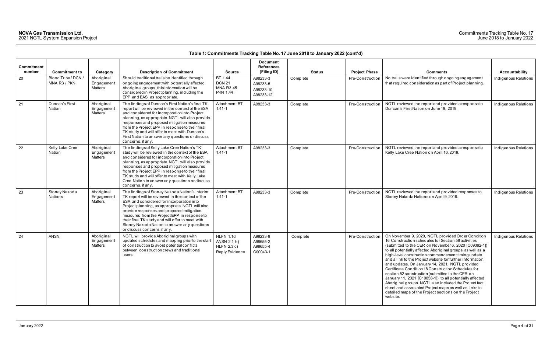## Commitments Tracking Table No. 17 June 2018 to January 2022

| Commitment<br>number | <b>Commitment to</b>                | Category                            | <b>Description of Commitment</b>                                                                                                                                                                                                                                                                                                                                                                                                     | <b>Source</b>                                                    | <b>Document</b><br><b>References</b><br>(Filing ID) | <b>Status</b> | <b>Project Phase</b> | <b>Comments</b>                                                                                                                                                                                                                                                                                                                                                                                                                                                                                                                                                                                                                                                                                                                                                       | Accountability       |
|----------------------|-------------------------------------|-------------------------------------|--------------------------------------------------------------------------------------------------------------------------------------------------------------------------------------------------------------------------------------------------------------------------------------------------------------------------------------------------------------------------------------------------------------------------------------|------------------------------------------------------------------|-----------------------------------------------------|---------------|----------------------|-----------------------------------------------------------------------------------------------------------------------------------------------------------------------------------------------------------------------------------------------------------------------------------------------------------------------------------------------------------------------------------------------------------------------------------------------------------------------------------------------------------------------------------------------------------------------------------------------------------------------------------------------------------------------------------------------------------------------------------------------------------------------|----------------------|
| 20                   | Blood Tribe / DCN /<br>MNA R3 / PKN | Aboriginal<br>Engagement<br>Matters | Should traditional trails be identified through<br>ongoing engagement with potentially affected<br>Aboriginal groups, this information will be<br>considered in Project planning, including the<br>EPP and EAS, as appropriate.                                                                                                                                                                                                      | BT 1.44<br><b>DCN 21</b><br><b>MNA R3 45</b><br><b>PKN 1.44</b>  | A98233-3<br>A98233-5<br>A98233-10<br>A98233-12      | Complete      | Pre-Construction     | No trails were identified through ongoing engagement<br>that required consideration as part of Project planning.                                                                                                                                                                                                                                                                                                                                                                                                                                                                                                                                                                                                                                                      | Indigenous Relations |
| 21                   | Duncan's First<br>Nation            | Aboriginal<br>Engagement<br>Matters | The findings of Duncan's First Nation's final TK<br>report will be reviewed in the context of the ESA<br>and considered for incorporation into Project<br>planning, as appropriate. NGTL will also provide<br>responses and proposed mitigation measures<br>from the Project EPP in response to their final<br>TK study and will offer to meet with Duncan's<br>First Nation to answer any questions or discuss<br>concerns, if any. | Attachment BT<br>$1.41 - 1$                                      | A98233-3                                            | Complete      | Pre-Construction     | NGTL reviewed the report and provided a response to<br>Duncan's First Nation on June 19, 2019.                                                                                                                                                                                                                                                                                                                                                                                                                                                                                                                                                                                                                                                                        | Indigenous Relations |
| 22                   | Kelly Lake Cree<br>Nation           | Aboriginal<br>Engagement<br>Matters | The findings of Kelly Lake Cree Nation's TK<br>study will be reviewed in the context of the ESA<br>and considered for incorporation into Project<br>planning, as appropriate. NGTL will also provide<br>responses and proposed mitigation measures<br>from the Project EPP in response to their final<br>TK study and will offer to meet with Kelly Lake<br>Cree Nation to answer any questions or discuss<br>concerns, if any.      | Attachment BT<br>$1.41 - 1$                                      | A98233-3                                            | Complete      | Pre-Construction     | NGTL reviewed the report and provided a response to<br>Kelly Lake Cree Nation on April 16, 2019.                                                                                                                                                                                                                                                                                                                                                                                                                                                                                                                                                                                                                                                                      | Indigenous Relations |
| 23                   | Stoney Nakoda<br>Nations            | Aboriginal<br>Engagemen<br>Matters  | The findings of Stoney Nakoda Nation's interim<br>TK report will be reviewed in the context of the<br>ESA and considered for incorporation into<br>Project planning, as appropriate. NGTL will also<br>provide responses and proposed mitigation<br>measures from the Project EPP in response to<br>their final TK study and will offer to meet with<br>Stoney Nakoda Nation to answer any questions<br>or discuss concerns, if any. | Attachment BT<br>$1.41 - 1$                                      | A98233-3                                            | Complete      | Pre-Construction     | NGTL reviewed the report and provided responses to<br>Stoney Nakoda Nations on April 9, 2019.                                                                                                                                                                                                                                                                                                                                                                                                                                                                                                                                                                                                                                                                         | Indigenous Relations |
| 24                   | <b>ANSN</b>                         | Aboriginal<br>Engagement<br>Matters | NGTL will provide Aboriginal groups with<br>updated schedules and mapping prior to the start<br>of construction to avoid potential conflicts<br>between construction crews and traditional<br>users.                                                                                                                                                                                                                                 | <b>HLFN 1.1d</b><br>ANSN 2.1 h)<br>HLFN 2.3 c)<br>Reply Evidence | A98233-9<br>A98655-2<br>A98655-4<br>C00043-1        | Complete      | Pre-Construction     | On November 9, 2020, NGTL provided Order Condition<br>16 Construction schedules for Section 58 activities<br>(submitted to the CER on November 6, 2020 [C09392-1])<br>to all potentially affected Aboriginal groups, as well as a<br>high-level construction commencement timing update<br>and a link to the Project website for further information<br>and updates. On January 14, 2021, NGTL provided<br>Certificate Condition 18 Construction Schedules for<br>section 52 construction (submitted to the CER on<br>January 11, 2021 [C10858-1]) to all potentially affected<br>Aboriginal groups. NGTL also included the Project fact<br>sheet and associated Project maps as well as links to<br>detailed maps of the Project sections on the Project<br>website. | Indigenous Relations |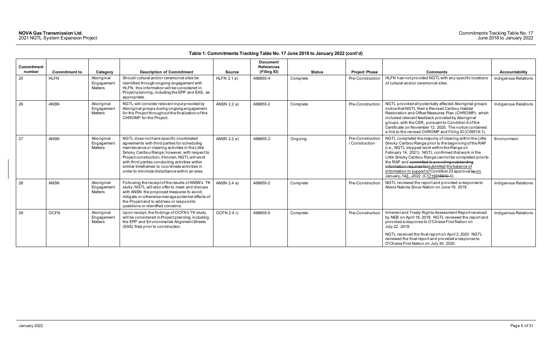| Commitment<br>number | <b>Commitment to</b> | Category                                  | <b>Description of Commitment</b>                                                                                                                                                                                                                                                                                                                                                                     | <b>Source</b> | <b>Document</b><br><b>References</b><br>(Filing ID) | <b>Status</b> | <b>Project Phase</b>               | <b>Comments</b>                                                                                                                                                                                                                                                                                                                                                                                                                                                                           | Accountability       |
|----------------------|----------------------|-------------------------------------------|------------------------------------------------------------------------------------------------------------------------------------------------------------------------------------------------------------------------------------------------------------------------------------------------------------------------------------------------------------------------------------------------------|---------------|-----------------------------------------------------|---------------|------------------------------------|-------------------------------------------------------------------------------------------------------------------------------------------------------------------------------------------------------------------------------------------------------------------------------------------------------------------------------------------------------------------------------------------------------------------------------------------------------------------------------------------|----------------------|
| 25                   | <b>HLFN</b>          | Aboriginal<br>Engagement<br>Matters       | Should cultural and/or ceremonial sites be<br>identified through ongoing engagement with<br>HLFN, this information will be considered in<br>Project planning, including the EPP and EAS, as<br>appropriate.                                                                                                                                                                                          | $HLFN$ 2.1 e) | A98655-4                                            | Complete      | Pre-Construction                   | HLFN has not provided NGTL with any specific locations<br>of cultural and/or ceremonial sites.                                                                                                                                                                                                                                                                                                                                                                                            | Indigenous Relations |
| 26                   | <b>ANSN</b>          | Aboriginal<br>Engagement<br>Matters       | NGTL will consider relevant input provided by<br>Aboriginal groups during ongoing engagement<br>for the Project throughout the finalization of the<br>CHROMP for the Project.                                                                                                                                                                                                                        | ANSN 2.2 a)   | A98655-2                                            | Complete      | Pre-Construction                   | NGTL provided all potentially affected Aboriginal groups<br>notice that NGTL filed a Revised Caribou Habitat<br>Restoration and Offset Measures Plan (CHROMP), which<br>included relevant feedback provided by Aboriginal<br>groups, with the CER, pursuant to Condition 6 of the<br>Certificate on November 12, 2020. The notice contained<br>a link to the revised CHROMP and Filing ID (C09519-1).                                                                                     | Indigenous Relations |
| 27                   | <b>ANSN</b>          | Aboriginal<br>Engagement<br>Matters       | NGTL does not have specific coordinated<br>agreements with third parties for scheduling<br>maintenance or clearing activities in the Little<br>Smoky Caribou Range; however, with respect to<br>Project construction, if known, NGTL will work<br>with third parties conducting activities within<br>similar timeframes to coordinate activities in<br>order to minimize disturbance within an area. | ANSN 2.2 e)   | A98655-2                                            | Ongoing       | Pre-Construction<br>/ Construction | NGTL completed the majority of clearing within the Little<br>Smoky Caribou Range prior to the beginning of the RAP<br>(i.e., NGTL stopped work within the Range on<br>February 14, 2021). NGTL confirmed that work in the<br>Little Smoky Caribou Range cannot be completed prior to<br>the RAP and committed to providing outstanding<br>information required for submitted the balance of<br>information in support of Condition 23 approval by on<br>January 143, 2022 (C1719416840-1) | Environment          |
| 28                   | <b>ANSN</b>          | Aboriginal<br>Engagement<br>Matters       | Following the receipt of the results of ANSN's TK<br>study, NGTL will also offer to meet and discuss<br>with ANSN the proposed measures to avoid,<br>mitigate or otherwise manage potential effects of<br>the Project and to address or respond to<br>questions or identified concerns.                                                                                                              | ANSN 2.4 a)   | A98655-2                                            | Complete      | Pre-Construction                   | NGTL reviewed the report and provided a response to<br>Alexis Nakota Sioux Nation on June 19, 2019.                                                                                                                                                                                                                                                                                                                                                                                       | Indigenous Relations |
| 29                   | <b>OCFN</b>          | Aboriginal<br>Engagemen<br><b>Matters</b> | Upon receipt, the findings of OCFN's TK study<br>will be considered in Project planning, including<br>the EPP and Environmental Alignment Sheets<br>(EAS) filed prior to construction.                                                                                                                                                                                                               | OCFN 2.4 r)   | A98655-5                                            | Complete      | Pre-Construction                   | Inherent and Treaty Rights Assessment Report received<br>by NEB on April 18, 2019. NGTL reviewed the report and<br>provided a response to O'Chiese First Nation on<br>July 22, 2019.<br>NGTL received the final report on April 2, 2020. NGTL<br>reviewed the final report and provided a response to<br>O'Chiese First Nation on July 30, 2020.                                                                                                                                          | Indigenous Relations |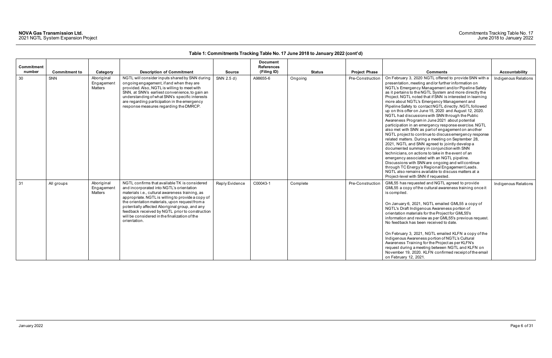### Commitments Tracking Table No. 17 June 2018 to January 2022

|                      |                      |                                     |                                                                                                                                                                                                                                                                                                                                                                                                                           |                | <b>Document</b>                  |               |                      |                                                                                                                                                                                                                                                                                                                                                                                                                                                                                                                                                                                                                                                                                                                                                                                                                                                                                                                                                                                                                                                                                                                                                                                                                 |                      |
|----------------------|----------------------|-------------------------------------|---------------------------------------------------------------------------------------------------------------------------------------------------------------------------------------------------------------------------------------------------------------------------------------------------------------------------------------------------------------------------------------------------------------------------|----------------|----------------------------------|---------------|----------------------|-----------------------------------------------------------------------------------------------------------------------------------------------------------------------------------------------------------------------------------------------------------------------------------------------------------------------------------------------------------------------------------------------------------------------------------------------------------------------------------------------------------------------------------------------------------------------------------------------------------------------------------------------------------------------------------------------------------------------------------------------------------------------------------------------------------------------------------------------------------------------------------------------------------------------------------------------------------------------------------------------------------------------------------------------------------------------------------------------------------------------------------------------------------------------------------------------------------------|----------------------|
| Commitment<br>number | <b>Commitment to</b> | Category                            | <b>Description of Commitment</b>                                                                                                                                                                                                                                                                                                                                                                                          | <b>Source</b>  | <b>References</b><br>(Filing ID) | <b>Status</b> | <b>Project Phase</b> | <b>Comments</b>                                                                                                                                                                                                                                                                                                                                                                                                                                                                                                                                                                                                                                                                                                                                                                                                                                                                                                                                                                                                                                                                                                                                                                                                 | Accountability       |
| 30                   | SNN                  | Aboriginal<br>Engagement<br>Matters | NGTL will consider inputs shared by SNN during<br>ongoing engagement, if and when they are<br>provided. Also, NGTL is willing to meet with<br>SNN, at SNN's earliest convenience, to gain an<br>understanding of what SNN's specific interests<br>are regarding participation in the emergency<br>response measures regarding the DMRCP.                                                                                  | SNN 2.5 d)     | A98655-6                         | Ongoing       | Pre-Construction     | On February 3, 2020 NGTL offered to provide SNN with a<br>presentation, meeting and/or further information on<br>NGTL's Emergency Management and/or Pipeline Safety<br>as it pertains to the NGTL System and more directly the<br>Project. NGTL noted that if SNN is interested in learning<br>more about NGTL's Emergency Management and<br>Pipeline Safety to contact NGTL directly. NGTL followed<br>up on this offer on June 15, 2020 and August 12, 2020.<br>NGTL had discussions with SNN through the Public<br>Awareness Program in June 2021 about potential<br>participation in an emergency response exercise. NGTL<br>also met with SNN as part of engagement on another<br>NGTL project to continue to discuss emergency response<br>related matters. During a meeting on September 28,<br>2021, NGTL and SNN agreed to jointly develop a<br>documented summary in conjunction with SNN<br>technicians, on actions to take in the event of an<br>emergency associated with an NGTL pipeline.<br>Discussions with SNN are ongoing and will continue<br>through TC Energy's Regional Engagement Leads.<br>NGTL also remains available to discuss matters at a<br>Project-level with SNN if requested. | Indigenous Relations |
| 31                   | All groups           | Aboriginal<br>Engagement<br>Matters | NGTL confirms that available TK is considered<br>and incorporated into NGTL's orientation<br>materials i.e., cultural awareness training, as<br>appropriate. NGTL is willing to provide a copy of<br>the orientation materials, upon request from a<br>potentially affected Aboriginal group, and any<br>feedback received by NGTL prior to construction<br>will be considered in the finalization of the<br>orientation. | Reply Evidence | C00043-1                         | Complete      | Pre-Construction     | GML55 has requested and NGTL agreed to provide<br>GML55 a copy of the cultural awareness training once it<br>is compiled.<br>On January 6, 2021, NGTL emailed GML55 a copy of<br>NGTL's Draft Indigenous Awareness portion of<br>orientation materials for the Project for GML55's<br>information and review as per GML55's previous request.<br>No feedback has been received to date.<br>On February 3, 2021, NGTL emailed KLFN a copy of the<br>Indigenous Awareness portion of NGTL's Cultural<br>Awareness Training for the Project as per KLFN's<br>request during a meeting between NGTL and KLFN on<br>November 19, 2020. KLFN confirmed receipt of the email<br>on February 12, 2021.                                                                                                                                                                                                                                                                                                                                                                                                                                                                                                                  | Indigenous Relations |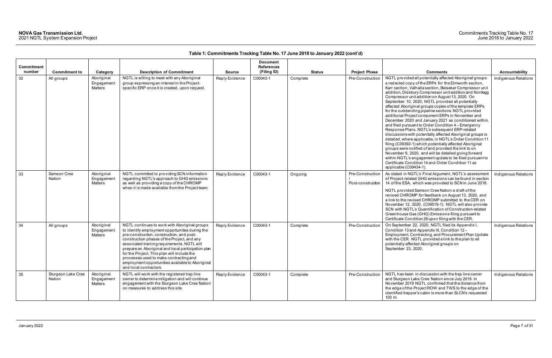| Commitment |                              |                                     |                                                                                                                                                                                                                                                                                                                                                                                                                                                                          |                | <b>Document</b><br><b>References</b> |          |                                       |                                                                                                                                                                                                                                                                                                                                                                                                                                                                                                                                                                                                                                                                                                                                                                                                                                                                                                                                                                                                                                                                                                                                         |                      |
|------------|------------------------------|-------------------------------------|--------------------------------------------------------------------------------------------------------------------------------------------------------------------------------------------------------------------------------------------------------------------------------------------------------------------------------------------------------------------------------------------------------------------------------------------------------------------------|----------------|--------------------------------------|----------|---------------------------------------|-----------------------------------------------------------------------------------------------------------------------------------------------------------------------------------------------------------------------------------------------------------------------------------------------------------------------------------------------------------------------------------------------------------------------------------------------------------------------------------------------------------------------------------------------------------------------------------------------------------------------------------------------------------------------------------------------------------------------------------------------------------------------------------------------------------------------------------------------------------------------------------------------------------------------------------------------------------------------------------------------------------------------------------------------------------------------------------------------------------------------------------------|----------------------|
| number     | <b>Commitment to</b>         | Category                            | <b>Description of Commitment</b>                                                                                                                                                                                                                                                                                                                                                                                                                                         | <b>Source</b>  | (Filing ID)                          | Status   | <b>Project Phase</b>                  | <b>Comments</b>                                                                                                                                                                                                                                                                                                                                                                                                                                                                                                                                                                                                                                                                                                                                                                                                                                                                                                                                                                                                                                                                                                                         | Accountability       |
| 32         | All groups                   | Aboriginal<br>Engagement<br>Matters | NGTL is willing to meet with any Aboriginal<br>group expressing an interest in the Project-<br>specific ERP once it is created, upon request.                                                                                                                                                                                                                                                                                                                            | Reply Evidence | C00043-1                             | Complete | Pre-Construction                      | NGTL provided all potentially affected Aboriginal groups<br>a redacted copy of the ERPs for the Elmworth section,<br>Karr section, Valhalla section, Beiseker Compressor unit<br>addition, Didsbury Compressor unit addition and Nordegg<br>Compressor unit addition on August 13, 2020. On<br>September 10, 2020, NGTL provided all potentially<br>affected Aboriginal groups copies of the template ERPs<br>for the outstanding pipeline sections. NGTL provided<br>additional Project component ERPs in November and<br>December 2020 and January 2021 as conditioned within,<br>and filed pursuant to Order Condition 4 - Emergency<br>Response Plans. NGTL's subsequent ERP-related<br>discussions with potentially affected Aboriginal groups is<br>detailed, where applicable, in NGTL's Order Condition 11<br>filing (C09392-1) which potentially affected Aboriginal<br>groups were notified of and provided the link to on<br>November 9, 2020, and will be detailed going forward<br>within NGTL's engagement update to be filed pursuant to<br>Certificate Condition 14 and Order Condition 11 as<br>applicable (C09434-1). | Indigenous Relations |
| 33         | Samson Cree<br>Nation        | Aboriginal<br>Engagement<br>Matters | NGTL committed to providing SCN information<br>regarding NGTL's approach to GHG emissions<br>as well as providing a copy of the CHROMP<br>when it is made available from the Project team.                                                                                                                                                                                                                                                                               | Reply Evidence | C00043-1                             | Ongoing  | Pre-Construction<br>Post-construction | As stated in NGTL's Final Argument, NGTL's assessment<br>of Project-related GHG emissions can be found in section<br>14 of the ESA, which was provided to SCN in June 2018.<br>NGTL provided Samson Cree Nation a draft of the<br>revised CHROMP for feedback on August 13, 2020, and<br>a link to the revised CHROMP submitted to the CER on<br>November 12, 2020, (C09519-1). NGTL will also provide<br>SCN with NGTL's Quantification of Construction-related<br>Greenhouse Gas (GHG) Emissions filing pursuant to<br>Certificate Condition 26 upon filing with the CER.                                                                                                                                                                                                                                                                                                                                                                                                                                                                                                                                                             | Indigenous Relations |
| 34         | All groups                   | Aboriginal<br>Engagement<br>Matters | NGTL continues to work with Aboriginal groups<br>to identify employment opportunities during the<br>pre-construction, construction, and post-<br>construction phases of the Project, and any<br>associated training requirements. NGTL will<br>prepare an Aboriginal and local participation plan<br>for the Project. This plan will include the<br>processes used to make contracting and<br>employment opportunities available to Aboriginal<br>and local contractors. | Reply Evidence | C00043-1                             | Complete | Pre-Construction                      | On September 22, 2020, NGTL filed its Appendix I,<br>Condition 13 and Appendix III, Condition 12-<br>Employment, Contracting, and Procurement Plan Update<br>with the CER. NGTL provided a link to the plan to all<br>potentially affected Aboriginal groups on<br>September 23, 2020.                                                                                                                                                                                                                                                                                                                                                                                                                                                                                                                                                                                                                                                                                                                                                                                                                                                  | Indigenous Relations |
| 35         | Sturgeon Lake Cree<br>Nation | Aboriginal<br>Engagement<br>Matters | NGTL will work with the registered trap line<br>owner to determine mitigation and will continue<br>engagement with the Sturgeon Lake Cree Nation<br>on measures to address this site.                                                                                                                                                                                                                                                                                    | Reply Evidence | C00043-1                             | Complete | Pre-Construction                      | NGTL has been in discussion with the trap line owner<br>and Sturgeon Lake Cree Nation since July 2019. In<br>November 2019 NGTL confirmed that the distance from<br>the edge of the Project ROW and TWS to the edge of the<br>identified trapper's cabin is more than SLCN's requested<br>100 m.                                                                                                                                                                                                                                                                                                                                                                                                                                                                                                                                                                                                                                                                                                                                                                                                                                        | Indigenous Relations |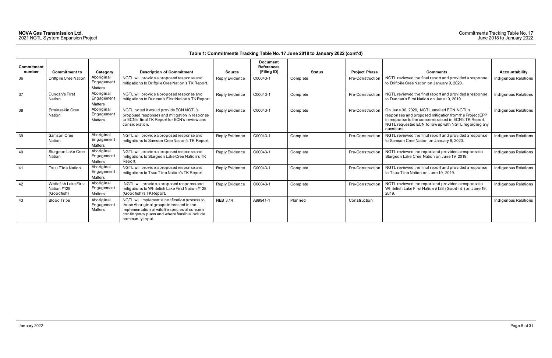| Commitment<br>number | <b>Commitment to</b>                                     | Category                            | <b>Description of Commitment</b>                                                                                                                                                                                | <b>Source</b>   | <b>Document</b><br><b>References</b><br>(Filing ID) | <b>Status</b> | <b>Project Phase</b> | <b>Comments</b>                                                                                                                                                                                                                     | Accountability       |
|----------------------|----------------------------------------------------------|-------------------------------------|-----------------------------------------------------------------------------------------------------------------------------------------------------------------------------------------------------------------|-----------------|-----------------------------------------------------|---------------|----------------------|-------------------------------------------------------------------------------------------------------------------------------------------------------------------------------------------------------------------------------------|----------------------|
| 36                   | Driftpile Cree Nation                                    | Aboriginal<br>Engagement<br>Matters | NGTL will provide a proposed response and<br>mitigations to Driftpile Cree Nation's TK Report.                                                                                                                  | Reply Evidence  | C00043-1                                            | Complete      | Pre-Construction     | NGTL reviewed the final report and provided a response<br>to Driftpile Cree Nation on January 9, 2020.                                                                                                                              | Indigenous Relations |
| 37                   | Duncan's First<br>Nation                                 | Aboriginal<br>Engagement<br>Matters | NGTL will provide a proposed response and<br>mitigations to Duncan's First Nation's TK Report                                                                                                                   | Reply Evidence  | C00043-1                                            | Complete      | Pre-Construction     | NGTL reviewed the final report and provided a response<br>to Duncan's First Nation on June 19, 2019.                                                                                                                                | Indigenous Relations |
| 38                   | Ermineskin Cree<br>Nation                                | Aboriginal<br>Engagement<br>Matters | NGTL noted it would provide ECN NGTL's<br>proposed responses and mitigation in response<br>to ECN's final TK Report for ECN's review and<br>consideration.                                                      | Reply Evidence  | C00043-1                                            | Complete      | Pre-Construction     | On June 30, 2020, NGTL emailed ECN NGTL's<br>responses and proposed mitigation from the Project EPP<br>in response to the concerns raised in ECN's TK Report.<br>NGTL requested ECN follow up with NGTL regarding any<br>questions. | Indigenous Relations |
| 39                   | Samson Cree<br>Nation                                    | Aboriginal<br>Engagement<br>Matters | NGTL will provide a proposed response and<br>mitigations to Samson Cree Nation's TK Report.                                                                                                                     | Reply Evidence  | C00043-1                                            | Complete      | Pre-Construction     | NGTL reviewed the final report and provided a response<br>to Samson Cree Nation on January 6, 2020.                                                                                                                                 | Indigenous Relations |
| 40                   | Sturgeon Lake Cree<br>Nation                             | Aboriginal<br>Engagement<br>Matters | NGTL will provide a proposed response and<br>mitigations to Sturgeon Lake Cree Nation's TK<br>Report.                                                                                                           | Reply Evidence  | C00043-1                                            | Complete      | Pre-Construction     | NGTL reviewed the report and provided a response to<br>Sturgeon Lake Cree Nation on June 19, 2019.                                                                                                                                  | Indigenous Relations |
| 41                   | Tsuu T'ina Nation                                        | Aboriginal<br>Engagement<br>Matters | NGTL will provide a proposed response and<br>mitigations to Tsuu T'ina Nation's TK Report.                                                                                                                      | Reply Evidence  | C00043-1                                            | Complete      | Pre-Construction     | NGTL reviewed the final report and provided a response<br>to Tsuu T'ina Nation on June 19, 2019.                                                                                                                                    | Indigenous Relations |
| 42                   | <b>Whitefish Lake First</b><br>Nation #128<br>(Goodfish) | Aboriginal<br>Engagement<br>Matters | NGTL will provide a proposed response and<br>mitigations to Whitefish Lake First Nation #128<br>(Goodfish)'s TK Report.                                                                                         | Reply Evidence  | C00043-1                                            | Complete      | Pre-Construction     | NGTL reviewed the report and provided a response to<br>Whitefish Lake First Nation #128 (Goodfish) on June 19,<br>2019.                                                                                                             | Indigenous Relations |
| 43                   | <b>Blood Tribe</b>                                       | Aboriginal<br>Engagement<br>Matters | NGTL will implement a notification process to<br>those Aboriginal groups interested in the<br>implementation of wildlife species of concern<br>contingency plans and where feasible include<br>community input. | <b>NEB 3.14</b> | A99941-1                                            | Planned       | Construction         |                                                                                                                                                                                                                                     | Indigenous Relations |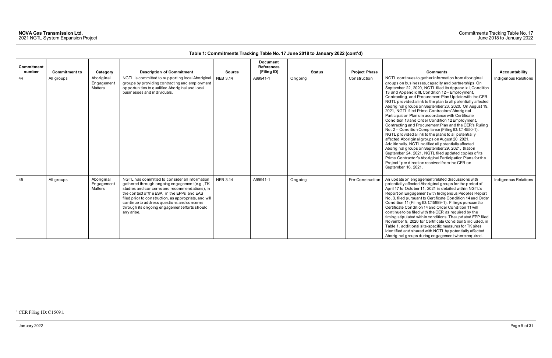January 2022 Page 9 of 31

<span id="page-9-0"></span>

| <b>Commitment</b><br>number | <b>Commitment to</b> | Category                                   | <b>Description of Commitment</b>                                                                                                                                                                                                                                                                                                                                      | <b>Source</b>   | <b>Document</b><br><b>References</b><br>(Filing ID) | <b>Status</b> | <b>Project Phase</b> | <b>Comments</b>                                                                                                                                                                                                                                                                                                                                                                                                                                                                                                                                                                                                                                                                                                                                                                                                                                                                                                                                                                                                                                                                                                            | Accountability       |
|-----------------------------|----------------------|--------------------------------------------|-----------------------------------------------------------------------------------------------------------------------------------------------------------------------------------------------------------------------------------------------------------------------------------------------------------------------------------------------------------------------|-----------------|-----------------------------------------------------|---------------|----------------------|----------------------------------------------------------------------------------------------------------------------------------------------------------------------------------------------------------------------------------------------------------------------------------------------------------------------------------------------------------------------------------------------------------------------------------------------------------------------------------------------------------------------------------------------------------------------------------------------------------------------------------------------------------------------------------------------------------------------------------------------------------------------------------------------------------------------------------------------------------------------------------------------------------------------------------------------------------------------------------------------------------------------------------------------------------------------------------------------------------------------------|----------------------|
| 44                          | All groups           | Aboriginal<br>Engagement<br><b>Matters</b> | NGTL is committed to supporting local Aboriginal<br>groups by providing contracting and employment<br>opportunities to qualified Aboriginal and local<br>businesses and individuals.                                                                                                                                                                                  | <b>NEB 3.14</b> | A99941-1                                            | Ongoing       | Construction         | NGTL continues to gather information from Aboriginal<br>groups on businesses, capacity and partnerships. On<br>September 22, 2020, NGTL filed its Appendix I, Condition<br>13 and Appendix III, Condition 12 - Employment,<br>Contracting, and Procurement Plan Update with the CER.<br>NGTL provided a link to the plan to all potentially affected<br>Aboriginal groups on September 23, 2020. On August 19,<br>2021, NGTL filed Prime Contractors' Aboriginal<br>Participation Plans in accordance with Certificate<br>Condition 13 and Order Condition 12 Employment,<br>Contracting and Procurement Plan and the CER's Ruling<br>No. 2 - Condition Compliance (Filing ID: C14550-1).<br>NGTL provided a link to the plans to all potentially<br>affected Aboriginal groups on August 20, 2021.<br>Additionally, NGTL notified all potentially affected<br>Aboriginal groups on September 29, 2021, that on<br>September 24, 2021, NGTL filed updated copies of its<br>Prime Contractor's Aboriginal Participation Plans for the<br>Project <sup>1</sup> per direction received from the CER on<br>September 16, 2021. | Indigenous Relations |
| 45                          | All groups           | Aboriginal<br>Engagement<br>Matters        | NGTL has committed to consider all information<br>gathered through ongoing engagement (e.g., TK<br>studies and concerns and recommendations), in<br>the context of the ESA, in the EPPs and EAS<br>filed prior to construction, as appropriate, and will<br>continue to address questions and concerns<br>through its ongoing engagement efforts should<br>any arise. | <b>NEB 3.14</b> | A99941-1                                            | Ongoing       | Pre-Construction     | An update on engagement related discussions with<br>potentially affected Aboriginal groups for the period of<br>April 17 to October 11, 2021 is detailed within NGTL's<br>Report on Engagement with Indigenous Peoples Report<br>No. 3, filed pursuant to Certificate Condition 14 and Order<br>Condition 11 (Filing ID: C15989-1). Filings pursuant to<br>Certificate Condition 14 and Order Condition 11 will<br>continue to be filed with the CER as required by the<br>timing stipulated within conditions. The updated EPP filed<br>November 9, 2020 for Certificate Condition 5 included, in<br>Table 1, additional site-specific measures for TK sites<br>identified and shared with NGTL by potentially affected<br>Aboriginal groups during engagement where required.                                                                                                                                                                                                                                                                                                                                            | Indigenous Relations |

<sup>&</sup>lt;sup>1</sup> CER Filing ID: C15091.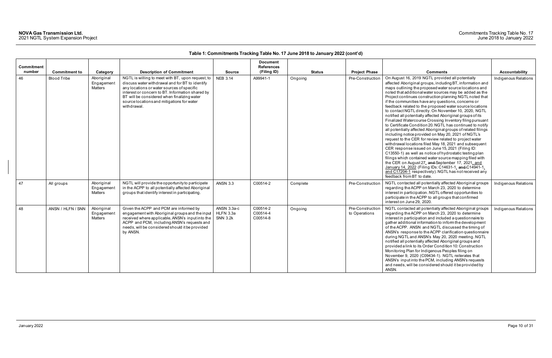| <b>Commitment</b><br>number | <b>Commitment to</b> | Category                            | <b>Description of Commitment</b>                                                                                                                                                                                                                                                                                   | <b>Source</b>                               | <b>Document</b><br><b>References</b><br>(Filing ID) | <b>Status</b> | <b>Project Phase</b>              | <b>Comments</b>                                                                                                                                                                                                                                                                                                                                                                                                                                                                                                                                                                                                                                                                                                                                                                                                                                                                                                                                                                                                                                                                                                                                                                                                                                                                         | Accountability       |
|-----------------------------|----------------------|-------------------------------------|--------------------------------------------------------------------------------------------------------------------------------------------------------------------------------------------------------------------------------------------------------------------------------------------------------------------|---------------------------------------------|-----------------------------------------------------|---------------|-----------------------------------|-----------------------------------------------------------------------------------------------------------------------------------------------------------------------------------------------------------------------------------------------------------------------------------------------------------------------------------------------------------------------------------------------------------------------------------------------------------------------------------------------------------------------------------------------------------------------------------------------------------------------------------------------------------------------------------------------------------------------------------------------------------------------------------------------------------------------------------------------------------------------------------------------------------------------------------------------------------------------------------------------------------------------------------------------------------------------------------------------------------------------------------------------------------------------------------------------------------------------------------------------------------------------------------------|----------------------|
| 46                          | <b>Blood Tribe</b>   | Aboriginal<br>Engagemen<br>Matters  | NGTL is willing to meet with BT, upon request, to<br>discuss water withdrawal and for BT to identify<br>any locations or water sources of specific<br>interest or concern to BT. Information shared by<br>BT will be considered when finalizing water<br>source locations and mitigations for water<br>withdrawal. | <b>NEB 3.14</b>                             | A99941-1                                            | Ongoing       | Pre-Construction                  | On August 16, 2019 NGTL provided all potentially<br>affected Aboriginal groups, including BT, information and<br>maps outlining the proposed water source locations and<br>noted that additional water sources may be added as the<br>Project continues construction planning NGTL noted that<br>if the communities have any questions, concerns or<br>feedback related to the proposed water source locations<br>to contact NGTL directly. On November 10, 2020, NGTL<br>notified all potentially affected Aboriginal groups of its<br>Finalized Watercourse Crossing Inventory filing pursuant<br>to Certificate Condition 20. NGTL has continued to notify<br>all potentially affected Aboriginal groups of related filings<br>including notice provided on May 20, 2021 of NGTL's<br>request to the CER for review related to project water<br>withdrawal locations filed May 18, 2021 and subsequent<br>CER response issued on June 15, 2021 (Filing ID:<br>C13550-1) as well as notice of hydrostatic testing plan<br>filings which contained water source mapping filed with<br>the CER on August 27, and September 17, 2021, and<br>January 14, 2022 (Filing IDs: C14631-1, and C14941-1,<br>and C17204-1 respectively). NGTL has not received any<br>feedback from BT to date. | Indigenous Relations |
| 47                          | All groups           | Aboriginal<br>Engagement<br>Matters | NGTL will provide the opportunity to participate<br>in the ACPP to all potentially affected Aboriginal<br>groups that identify interest in participating.                                                                                                                                                          | <b>ANSN 3.3</b>                             | C00514-2                                            | Complete      | Pre-Construction                  | NGTL contacted all potentially affected Aboriginal groups<br>regarding the ACPP on March 23, 2020 to determine<br>interest in participation. NGTL offered opportunities to<br>participate in the ACPP to all groups that confirmed<br>interest on June 29, 2020.                                                                                                                                                                                                                                                                                                                                                                                                                                                                                                                                                                                                                                                                                                                                                                                                                                                                                                                                                                                                                        | Indigenous Relations |
| 48                          | ANSN / HLFN / SNN    | Aboriginal<br>Engagemen<br>Matters  | Given the ACPP and PCM are informed by<br>engagement with Aboriginal groups and the input<br>received where applicable, ANSN's input into the<br>ACPP and PCM, including ANSN's requests and<br>needs, will be considered should it be provided<br>by ANSN.                                                        | ANSN 3.3a-c<br>HLFN 3.3a<br><b>SNN 3.2k</b> | C00514-2<br>C00514-4<br>C00514-8                    | Ongoing       | Pre-Construction<br>to Operations | NGTL contacted all potentially affected Aboriginal groups<br>regarding the ACPP on March 23, 2020 to determine<br>interest in participation and included a questionnaire to<br>gather additional information to inform the development<br>of the ACPP. ANSN and NGTL discussed the timing of<br>ANSN's response to the ACPP clarification questionnaire<br>during NGTL and ANSN's May 20, 2020 meeting. NGTL<br>notified all potentially affected Aboriginal groups and<br>provided a link to its Order Condition 10: Construction<br>Monitoring Plan for Indigenous Peoples filing on<br>November 9, 2020 (C09434-1). NGTL reiterates that<br>ANSN's input into the PCM, including ANSN's requests<br>and needs, will be considered should it be provided by<br>ANSN.                                                                                                                                                                                                                                                                                                                                                                                                                                                                                                                  | Indigenous Relations |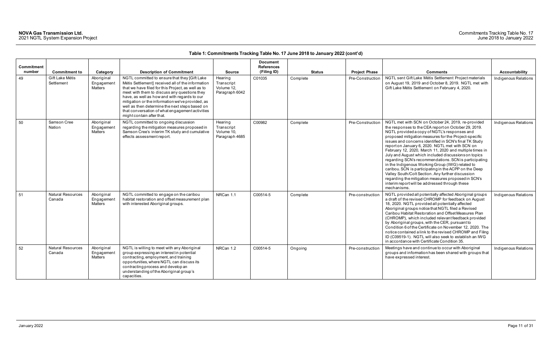|                             |                                    |                                                 |                                                                                                                                                                                                                                                                                                                                                                                                                                                |                                                       | <b>Document</b>                  |               |                                          |                                                                                                                                                                                                                                                                                                                                                                                                                                                                                                                                                                                                                                                                                                                                                                                                        |                      |
|-----------------------------|------------------------------------|-------------------------------------------------|------------------------------------------------------------------------------------------------------------------------------------------------------------------------------------------------------------------------------------------------------------------------------------------------------------------------------------------------------------------------------------------------------------------------------------------------|-------------------------------------------------------|----------------------------------|---------------|------------------------------------------|--------------------------------------------------------------------------------------------------------------------------------------------------------------------------------------------------------------------------------------------------------------------------------------------------------------------------------------------------------------------------------------------------------------------------------------------------------------------------------------------------------------------------------------------------------------------------------------------------------------------------------------------------------------------------------------------------------------------------------------------------------------------------------------------------------|----------------------|
| <b>Commitment</b><br>number | <b>Commitment to</b>               |                                                 | <b>Description of Commitment</b>                                                                                                                                                                                                                                                                                                                                                                                                               | <b>Source</b>                                         | <b>References</b><br>(Filing ID) | <b>Status</b> |                                          | <b>Comments</b>                                                                                                                                                                                                                                                                                                                                                                                                                                                                                                                                                                                                                                                                                                                                                                                        | Accountability       |
| 49                          | Gift Lake Métis<br>Settlement      | Category<br>Aboriginal<br>Engagement<br>Matters | NGTL committed to ensure that they [Gift Lake<br>Métis Settlement] received all of the information<br>that we have filed for this Project, as well as to<br>meet with them to discuss any questions they<br>have, as well as how and with regards to our<br>mitigation or the information we've provided, as<br>well as then determine the next steps based on<br>that conversation of what engagement activities<br>might contain after that. | Hearing<br>Transcript<br>Volume 12,<br>Paragraph 6042 | C01035                           | Complete      | <b>Project Phase</b><br>Pre-Construction | NGTL sent Gift Lake Métis Settlement Project materials<br>on August 19, 2019 and October 8, 2019. NGTL met with<br>Gift Lake Métis Settlement on February 4, 2020.                                                                                                                                                                                                                                                                                                                                                                                                                                                                                                                                                                                                                                     | Indigenous Relations |
| 50                          | Samson Cree<br>Nation              | Aboriginal<br>Engagement<br><b>Matters</b>      | NGTL committed to ongoing discussion<br>regarding the mitigation measures proposed in<br>Samson Cree's interim TK study and cumulative<br>effects assessment report.                                                                                                                                                                                                                                                                           | Hearing<br>Transcript<br>Volume 10,<br>Paragraph 4685 | C00982                           | Complete      | Pre-Construction                         | NGTL met with SCN on October 24, 2019, re-provided<br>the responses to the CEA report on October 29, 2019.<br>NGTL provided a copy of NGTL's responses and<br>proposed mitigation measures for the Project-specific<br>issues and concerns identified in SCN's final TK Study<br>report on January 6, 2020. NGTL met with SCN on<br>February 12, 2020, March 11, 2020 and multiple times in<br>July and August which included discussions on topics<br>regarding SCN's recommendations. SCN is participating<br>in the Indigenous Working Group (IWG) related to<br>caribou. SCN is participating in the ACPP on the Deep<br>Valley South/Colt Section. Any further discussion<br>regarding the mitigation measures proposed in SCN's<br>interim report will be addressed through these<br>mechanisms. | Indigenous Relations |
| 51                          | <b>Natural Resources</b><br>Canada | Aboriginal<br>Engagement<br>Matters             | NGTL committed to engage on the caribou<br>habitat restoration and offset measurement plan<br>with interested Aboriginal groups.                                                                                                                                                                                                                                                                                                               | NRCan 1.1                                             | C00514-5                         | Complete      | Pre-construction                         | NGTL provided all potentially affected Aboriginal groups<br>a draft of the revised CHROMP for feedback on August<br>18, 2020. NGTL provided all potentially affected<br>Aboriginal groups notice that NGTL filed a Revised<br>Caribou Habitat Restoration and Offset Measures Plan<br>(CHROMP), which included relevant feedback provided<br>by Aboriginal groups, with the CER, pursuant to<br>Condition 6 of the Certificate on November 12, 2020. The<br>notice contained a link to the revised CHROMP and Filing<br>ID (C09519-1). NGTL will also seek to establish an IWG<br>in accordance with Certificate Condition 35.                                                                                                                                                                         | Indigenous Relations |
| 52                          | <b>Natural Resources</b><br>Canada | Aboriginal<br>Engagement<br>Matters             | NGTL is willing to meet with any Aboriginal<br>group expressing an interest in potential<br>contracting, employment, and training<br>opportunities, where NGTL can discuss its<br>contracting process and develop an<br>understanding of the Aboriginal group's<br>capacities.                                                                                                                                                                 | NRCan 1.2                                             | C00514-5                         | Ongoing       | Pre-construction                         | Meetings have and continue to occur with Aboriginal<br>groups and information has been shared with groups that<br>have expressed interest.                                                                                                                                                                                                                                                                                                                                                                                                                                                                                                                                                                                                                                                             | Indigenous Relations |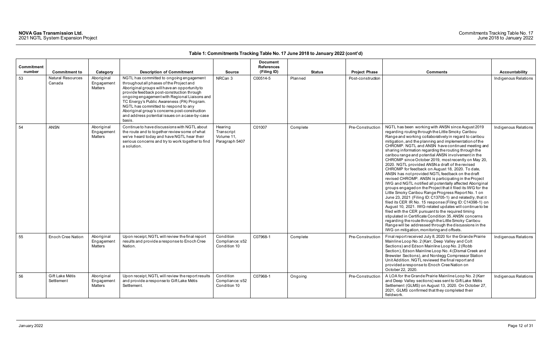## Commitments Tracking Table No. 17 June 2018 to January 2022

| Commitment<br>number | <b>Commitment to</b>               | Category                            | <b>Description of Commitment</b>                                                                                                                                                                                                                                                                                                                                                                                                        | <b>Source</b>                                         | <b>Document</b><br><b>References</b><br>(Filing ID) | <b>Status</b> | <b>Project Phase</b> | <b>Comments</b>                                                                                                                                                                                                                                                                                                                                                                                                                                                                                                                                                                                                                                                                                                                                                                                                                                                                                                                                                                                                                                                                                                                                                                                                                                                                                                                    | <b>Accountability</b> |
|----------------------|------------------------------------|-------------------------------------|-----------------------------------------------------------------------------------------------------------------------------------------------------------------------------------------------------------------------------------------------------------------------------------------------------------------------------------------------------------------------------------------------------------------------------------------|-------------------------------------------------------|-----------------------------------------------------|---------------|----------------------|------------------------------------------------------------------------------------------------------------------------------------------------------------------------------------------------------------------------------------------------------------------------------------------------------------------------------------------------------------------------------------------------------------------------------------------------------------------------------------------------------------------------------------------------------------------------------------------------------------------------------------------------------------------------------------------------------------------------------------------------------------------------------------------------------------------------------------------------------------------------------------------------------------------------------------------------------------------------------------------------------------------------------------------------------------------------------------------------------------------------------------------------------------------------------------------------------------------------------------------------------------------------------------------------------------------------------------|-----------------------|
| 53                   | <b>Natural Resources</b><br>Canada | Aboriginal<br>Engagement<br>Matters | NGTL has committed to ongoing engagement<br>throughout all phases of the Project and<br>Aboriginal groups will have an opportunity to<br>provide feedback post-construction through<br>ongoing engagement with Regional Liaisons and<br>TC Energy's Public Awareness (PA) Program.<br>NGTL has committed to respond to any<br>Aboriginal group's concerns post-construction<br>and address potential issues on a case-by-case<br>basis. | NRCan 3                                               | C00514-5                                            | Planned       | Post-construction    |                                                                                                                                                                                                                                                                                                                                                                                                                                                                                                                                                                                                                                                                                                                                                                                                                                                                                                                                                                                                                                                                                                                                                                                                                                                                                                                                    | Indigenous Relations  |
| 54                   | <b>ANSN</b>                        | Aboriginal<br>Engagement<br>Matters | Continue to have discussions with NGTL about<br>the route and to together review some of what<br>we've heard today and have NGTL hear their<br>serious concerns and try to work together to find<br>a solution.                                                                                                                                                                                                                         | Hearing<br>Transcript<br>Volume 11,<br>Paragraph 5407 | C01007                                              | Complete      | Pre-Construction     | NGTL has been working with ANSN since August 2019<br>regarding routing through the Little Smoky Caribou<br>Range and working collaboratively in regard to caribou<br>mitigation, and the planning and implementation of the<br>CHROMP. NGTL and ANSN have continued meeting and<br>sharing information regarding the routing through the<br>caribou range and potential ANSN involvement in the<br>CHROMP since October 2019, most recently on May 20,<br>2020. NGTL provided ANSN a draft of the revised<br>CHROMP for feedback on August 18, 2020. To date,<br>ANSN has not provided NGTL feedback on the draft<br>revised CHROMP. ANSN is participating in the Project<br>IWG and NGTL notified all potentially affected Aboriginal<br>groups engaged on the Project that it filed its IWG for the<br>Little Smoky Caribou Range Progress Report No. 1 on<br>June 23, 2021 (Filing ID: C13705-1) and relatedly, that it<br>filed its CER IR No. 15 response (Filing ID: C14398-1) on<br>August 10, 2021. IWG-related updates will continue to be<br>filed with the CER pursuant to the required timing<br>stipulated in Certificate Condition 35. ANSN concerns<br>regarding the route through the Little Smoky Caribou<br>Range will be addressed through the discussions in the<br>IWG on mitigation, monitoring and offsets. | Indigenous Relations  |
| 55                   | <b>Enoch Cree Nation</b>           | Aboriginal<br>Engagemen<br>Matters  | Upon receipt, NGTL will review the final report<br>results and provide a response to Enoch Cree<br>Nation.                                                                                                                                                                                                                                                                                                                              | Condition<br>Compliance: s52<br>Condition 10          | C07968-1                                            | Complete      | Pre-Construction     | Final report received July 8, 2020 for the Grande Prairie<br>Mainline Loop No. 2 (Karr, Deep Valley and Colt<br>Sections) and Edson Mainline Loop No. 2 (Robb<br>Section), Edson Mainline Loop No. 4 (Dismal Creek and<br>Brewster Sections), and Nordegg Compressor Station<br>Unit Addition. NGTL reviewed the final report and<br>provided a response to Enoch Cree Nation on<br>October 22, 2020.                                                                                                                                                                                                                                                                                                                                                                                                                                                                                                                                                                                                                                                                                                                                                                                                                                                                                                                              | Indigenous Relations  |
| 56                   | Gift Lake Métis<br>Settlement      | Aboriginal<br>Engagement<br>Matters | Upon receipt, NGTL will review the report results<br>and provide a response to Gift Lake Métis<br>Settlement.                                                                                                                                                                                                                                                                                                                           | Condition<br>Compliance: s52<br>Condition 10          | C07968-1                                            | Ongoing       | Pre-Construction     | A LOA for the Grande Prairie Mainline Loop No. 2 (Karr<br>and Deep Valley sections) was sent to Gift Lake Métis<br>Settlement (GLMS) on August 13, 2020. On October 27,<br>2021, GLMS confirmed that they completed their<br>fieldwork.                                                                                                                                                                                                                                                                                                                                                                                                                                                                                                                                                                                                                                                                                                                                                                                                                                                                                                                                                                                                                                                                                            | Indigenous Relations  |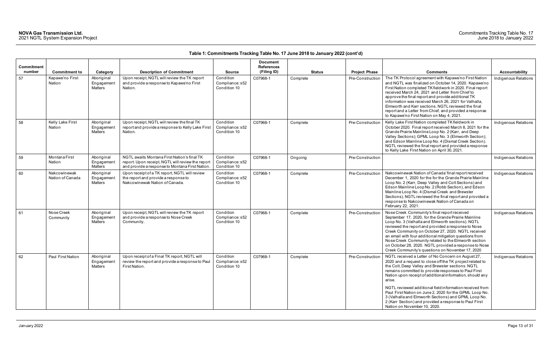| Commitment<br>number | <b>Commitment to</b>             |                                                 | <b>Description of Commitment</b>                                                                                                                   | <b>Source</b>                                | <b>Document</b><br><b>References</b><br>(Filing ID) | <b>Status</b> | <b>Project Phase</b> | <b>Comments</b>                                                                                                                                                                                                                                                                                                                                                                                                                                                                                                                                                              | Accountability       |
|----------------------|----------------------------------|-------------------------------------------------|----------------------------------------------------------------------------------------------------------------------------------------------------|----------------------------------------------|-----------------------------------------------------|---------------|----------------------|------------------------------------------------------------------------------------------------------------------------------------------------------------------------------------------------------------------------------------------------------------------------------------------------------------------------------------------------------------------------------------------------------------------------------------------------------------------------------------------------------------------------------------------------------------------------------|----------------------|
| 57                   | Kapawe'no First<br>Nation        | Category<br>Aboriginal<br>Engagement<br>Matters | Upon receipt, NGTL will review the TK report<br>and provide a response to Kapawe'no First<br>Nation.                                               | Condition<br>Compliance: s52<br>Condition 10 | C07968-1                                            | Complete      | Pre-Construction     | The TK Protocol agreement with Kapawe'no First Nation<br>and NGTL was finalized on October 14, 2020. Kapawe'no<br>First Nation completed TK fieldwork in 2020. Final report<br>received March 24, 2021 and Letter from Chief to<br>approve the final report and provide additional TK<br>information was received March 26, 2021 for Valhalla,<br>Elmworth and Karr sections, NGTL reviewed the final<br>report and a Letter from Chief, and provided a response<br>to Kapawe'no First Nation on May 4, 2021.                                                                | Indigenous Relations |
| 58                   | Kelly Lake First<br>Nation       | Aboriginal<br>Engagement<br>Matters             | Upon receipt, NGTL will review the final TK<br>report and provide a response to Kelly Lake First<br>Nation.                                        | Condition<br>Compliance: s52<br>Condition 10 | C07968-1                                            | Complete      | Pre-Construction     | Kelly Lake First Nation completed TK fieldwork in<br>October 2020. Final report received March 8, 2021 for the<br>Grande Prairie Mainline Loop No. 2 (Karr, and Deep<br>Valley Sections); GPML Loop No. 3 (Elmworth Section);<br>and Edson Mainline Loop No. 4 (Dismal Creek Section).<br>NGTL reviewed the final report and provided a response<br>to Kelly Lake First Nation on April 30, 2021.                                                                                                                                                                            | Indigenous Relations |
| 59                   | Montana First<br>Nation          | Aboriginal<br>Engagement<br><b>Matters</b>      | NGTL awaits Montana First Nation's final TK<br>report. Upon receipt, NGTL will review the report<br>and provide a response to Montana First Nation | Condition<br>Compliance: s52<br>Condition 10 | C07968-1                                            | Ongoing       | Pre-Construction     |                                                                                                                                                                                                                                                                                                                                                                                                                                                                                                                                                                              | Indigenous Relations |
| 60                   | Nakcowinewak<br>Nation of Canada | Aboriginal<br>Engagement<br><b>Matters</b>      | Upon receipt of a TK report, NGTL will review<br>the report and provide a response to<br>Nakcowinewak Nation of Canada.                            | Condition<br>Compliance: s52<br>Condition 10 | C07968-1                                            | Complete      | Pre-Construction     | Nakcowinewak Nation of Canada' final report received<br>December 1, 2020 for the for the Grande Prairie Mainline<br>Loop No. 2 (Karr, Deep Valley and Colt Sections) and<br>Edson Mainline Loop No. 2 (Robb Section), and Edson<br>Mainline Loop No. 4 (Dismal Creek and Brewster<br>Sections), NGTL reviewed the final report and provided a<br>response to Nakcowinewak Nation of Canada on<br>February 22, 2021.                                                                                                                                                          | Indigenous Relations |
| 61                   | Nose Creek<br>Community          | Aboriginal<br>Engagemen<br><b>Matters</b>       | Upon receipt, NGTL will review the TK report<br>and provide a response to Nose Creek<br>Community.                                                 | Condition<br>Compliance: s52<br>Condition 10 | C07968-1                                            | Complete      | Pre-Construction     | Nose Creek Community's final report received<br>September 17, 2020, for the Grande Prairie Mainline<br>Loop No. 3 (Valhalla and Elmworth sections). NGTL<br>reviewed the report and provided a response to Nose<br>Creek Community on October 27, 2020. NGTL received<br>an email with four additional mitigation questions from<br>Nose Creek Community related to the Elmworth section<br>on October 28, 2020. NGTL provided a response to Nose<br>Creek Community's questions on November 17, 2020                                                                        | Indigenous Relations |
| 62                   | Paul First Nation                | Aboriginal<br>Engagement<br>Matters             | Upon receipt of a Final TK report, NGTL will<br>review the report and provide a response to Paul<br>First Nation.                                  | Condition<br>Compliance: s52<br>Condition 10 | C07968-1                                            | Complete      | Pre-Construction     | NGTL received a Letter of No Concern on August 27,<br>2020 and a request to close off the TK project related to<br>the Colt, Deep Valley and Brewster sections. NGTL<br>remains committed to provide responses to Paul First<br>Nation upon receipt of additional information, should any<br>arise.<br>NGTL reviewed additional field information received from<br>Paul First Nation on June 2, 2020 for the GPML Loop No.<br>3 (Valhalla and Elmworth Sections) and GPML Loop No.<br>2 (Karr Section) and provided a response to Paul First<br>Nation on November 10, 2020. | Indigenous Relations |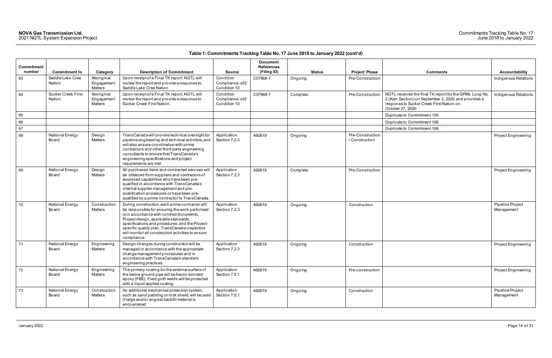| Commitment |                                     |                                            |                                                                                                                                                                                                                                                                                                                                                                  |                                              | <b>Document</b><br><b>References</b> |               |                                    |                                                                                                                                                                                  |                                |
|------------|-------------------------------------|--------------------------------------------|------------------------------------------------------------------------------------------------------------------------------------------------------------------------------------------------------------------------------------------------------------------------------------------------------------------------------------------------------------------|----------------------------------------------|--------------------------------------|---------------|------------------------------------|----------------------------------------------------------------------------------------------------------------------------------------------------------------------------------|--------------------------------|
| number     | <b>Commitment to</b>                | Category                                   | <b>Description of Commitment</b>                                                                                                                                                                                                                                                                                                                                 | <b>Source</b>                                | (Filing ID)                          | <b>Status</b> | <b>Project Phase</b>               | <b>Comments</b>                                                                                                                                                                  | Accountability                 |
| 63         | Saddle Lake Cree<br>Nation          | Aboriginal<br>Engagement<br><b>Matters</b> | Upon receipt of a Final TK report, NGTL will<br>review the report and provide a response to<br>Saddle Lake Cree Nation                                                                                                                                                                                                                                           | Condition<br>Compliance: s52<br>Condition 10 | C07968-1                             | Ongoing       | Pre-Construction                   |                                                                                                                                                                                  | Indigenous Relations           |
| 64         | <b>Sucker Creek First</b><br>Nation | Aboriginal<br>Engagement<br>Matters        | Upon receipt of a Final TK report, NGTL will<br>review the report and provide a response to<br>Sucker Creek First Nation.                                                                                                                                                                                                                                        | Condition<br>Compliance: s52<br>Condition 10 | C07968-1                             | Complete      | Pre-Construction                   | NGTL received the final TK report for the GPML Loop No.<br>2 (Karr Section) on September 2, 2020 and provided a<br>response to Sucker Creek First Nation on<br>October 27, 2020. | Indigenous Relations           |
| 65         |                                     |                                            |                                                                                                                                                                                                                                                                                                                                                                  |                                              |                                      |               |                                    | Duplicate to Commitment 106.                                                                                                                                                     |                                |
| 66         |                                     |                                            |                                                                                                                                                                                                                                                                                                                                                                  |                                              |                                      |               |                                    | Duplicate to Commitment 106.                                                                                                                                                     |                                |
| 67         |                                     |                                            |                                                                                                                                                                                                                                                                                                                                                                  |                                              |                                      |               |                                    | Duplicate to Commitment 106.                                                                                                                                                     |                                |
| 68         | National Energy<br>Board            | Design<br>Matters                          | TransCanada will provide technical oversight for<br>pipeline engineering and technical activities, and<br>will also ensure coordination with prime<br>contractors and other third-party engineering<br>consultants to ensure that TransCanada's<br>engineering specifications and project<br>requirements are met.                                               | Application<br>Section 7.2.3                 | A92619                               | Ongoing       | Pre-Construction<br>/ Construction |                                                                                                                                                                                  | Project Engineering            |
| 69         | National Energy<br>Board            | Design<br><b>Matters</b>                   | All purchased items and contracted services will<br>be obtained from suppliers and contractors of<br>assessed capabilities who have been pre-<br>qualified in accordance with TransCanada's<br>internal supplier management and pre-<br>qualification procedures or have been pre-<br>qualified by a prime contractor to TransCanada.                            | Application<br>Section 7.2.3                 | A92619                               | Complete      | Pre-Construction                   |                                                                                                                                                                                  | Project Engineering            |
| 70         | National Energy<br>Board            | Construction<br>Matters                    | During construction, each prime contractor will<br>be responsible for ensuring the work performed<br>is in accordance with contract documents,<br>Project design, applicable standards,<br>specifications and procedures, and the Project-<br>specific quality plan. TransCanada inspectors<br>will monitor all construction activities to ensure<br>compliance. | Application<br>Section 7.2.3                 | A92619                               | Ongoing       | Construction                       |                                                                                                                                                                                  | Pipeline Project<br>Management |
| 71         | National Energy<br>Board            | Engineering<br>Matters                     | Design changes during construction will be<br>managed in accordance with the appropriate<br>change management procedures and in<br>accordance with TransCanada's standard<br>engineering practices.                                                                                                                                                              | Application<br>Section 7.2.3                 | A92619                               | Ongoing       | Construction                       |                                                                                                                                                                                  | Project Engineering            |
| 72         | National Energy<br>Board            | Engineering<br>Matters                     | The primary coating for the external surface of<br>the below ground pipe will be fusion-bonded<br>epoxy (FBE). Field girth welds will be protected<br>with a liquid applied coating                                                                                                                                                                              | Application<br>Section 7.5.1                 | A92619                               | Ongoing       | Pre-construction                   |                                                                                                                                                                                  | Project Engineering            |
| 73         | National Energy<br>Board            | Construction<br>Matters                    | An additional mechanical protection system,<br>such as sand padding or rock shield, will be used<br>if large and/or angular backfill material is<br>encountered.                                                                                                                                                                                                 | Application<br>Section 7.5.1                 | A92619                               | Ongoing       | Construction                       |                                                                                                                                                                                  | Pipeline Project<br>Management |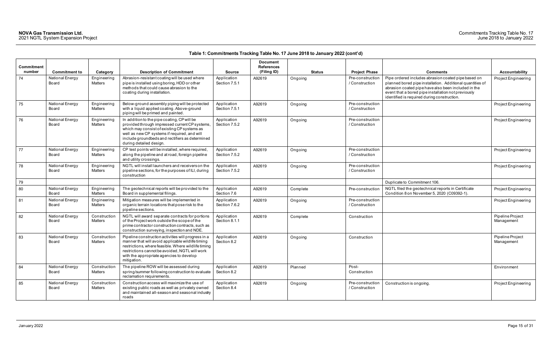### Commitments Tracking Table No. 17 June 2018 to January 2022

| <b>Commitment</b><br>number | <b>Commitment to</b>     | Category                | <b>Description of Commitment</b>                                                                                                                                                                                                                                             | <b>Source</b>                | <b>Document</b><br><b>References</b><br>(Filing ID) | <b>Status</b> | <b>Project Phase</b>               | <b>Comments</b>                                                                                                                                                                                                                                                               | Accountability                 |
|-----------------------------|--------------------------|-------------------------|------------------------------------------------------------------------------------------------------------------------------------------------------------------------------------------------------------------------------------------------------------------------------|------------------------------|-----------------------------------------------------|---------------|------------------------------------|-------------------------------------------------------------------------------------------------------------------------------------------------------------------------------------------------------------------------------------------------------------------------------|--------------------------------|
| 74                          | National Energy<br>Board | Engineering<br>Matters  | Abrasion-resistant coating will be used where<br>pipe is installed using boring, HDD or other<br>methods that could cause abrasion to the<br>coating during installation.                                                                                                    | Application<br>Section 7.5.1 | A92619                                              | Ongoing       | Pre-construction<br>/ Construction | Pipe ordered includes abrasion coated pipe based on<br>planned bored pipe installation. Additional quantities of<br>abrasion coated pipe have also been included in the<br>event that a bored pipe installation not previously<br>identified is required during construction. | Project Engineerin             |
| 75                          | National Energy<br>Board | Engineering<br>Matters  | Below-ground assembly piping will be protected<br>with a liquid applied coating. Above-ground<br>piping will be primed and painted.                                                                                                                                          | Application<br>Section 7.5.1 | A92619                                              | Ongoing       | Pre-construction<br>/ Construction |                                                                                                                                                                                                                                                                               | Project Engineerin             |
| 76                          | National Energy<br>Board | Engineering<br>Matters  | In addition to the pipe coating, CP will be<br>provided through impressed current CP systems,<br>which may consist of existing CP systems as<br>well as new CP systems if required, and will<br>include groundbeds and rectifiers as determined<br>during detailed design.   | Application<br>Section 7.5.2 | A92619                                              | Ongoing       | Pre-construction<br>/ Construction |                                                                                                                                                                                                                                                                               | Project Engineerin             |
| 77                          | National Energy<br>Board | Engineering<br>Matters  | CP test points will be installed, where required,<br>along the pipeline and at road, foreign pipeline<br>and utility crossings.                                                                                                                                              | Application<br>Section 7.5.2 | A92619                                              | Ongoing       | Pre-construction<br>/ Construction |                                                                                                                                                                                                                                                                               | Project Engineerin             |
| 78                          | National Energy<br>Board | Engineering<br>Matters  | NGTL will install launchers and receivers on the<br>pipeline sections, for the purposes of ILI, during<br>construction                                                                                                                                                       | Application<br>Section 7.5.2 | A92619                                              | Ongoing       | Pre-construction<br>/ Construction |                                                                                                                                                                                                                                                                               | Project Engineerin             |
| 79                          |                          |                         |                                                                                                                                                                                                                                                                              |                              |                                                     |               |                                    | Duplicate to Commitment 106.                                                                                                                                                                                                                                                  |                                |
| 80                          | National Energy<br>Board | Engineering<br>Matters  | The geotechnical reports will be provided to the<br>Board in supplemental filings.                                                                                                                                                                                           | Application<br>Section 7.6   | A92619                                              | Complete      | Pre-construction                   | NGTL filed the geotechnical reports in Certificate<br>Condition 8 on November 5, 2020 (C09392-1).                                                                                                                                                                             | Project Engineerin             |
| 81                          | National Energy<br>Board | Engineering<br>Matters  | Mitigation measures will be implemented in<br>organic terrain locations that pose risk to the<br>pipeline sections.                                                                                                                                                          | Application<br>Section 7.6.2 | A92619                                              | Ongoing       | Pre-construction<br>/ Construction |                                                                                                                                                                                                                                                                               | Project Engineerin             |
| 82                          | National Energy<br>Board | Construction<br>Matters | NGTL will award separate contracts for portions<br>of the Project work outside the scope of the<br>prime contractor construction contracts, such as<br>construction surveying, inspection and NDE.                                                                           | Application<br>Section 8.1.1 | A92619                                              | Complete      | Construction                       |                                                                                                                                                                                                                                                                               | Pipeline Project<br>Management |
| 83                          | National Energy<br>Board | Construction<br>Matters | Pipeline construction activities will progress in a<br>manner that will avoid applicable wildlife timing<br>restrictions, where feasible. Where wildlife timing<br>restrictions cannot be avoided, NGTL will work<br>with the appropriate agencies to develop<br>mitigation. | Application<br>Section 8.2   | A92619                                              | Ongoing       | Construction                       |                                                                                                                                                                                                                                                                               | Pipeline Project<br>Management |
| 84                          | National Energy<br>Board | Construction<br>Matters | The pipeline ROW will be assessed during<br>spring/summer following construction to evaluate<br>reclamation requirements.                                                                                                                                                    | Application<br>Section 8.2   | A92619                                              | Planned       | Post-<br>Construction              |                                                                                                                                                                                                                                                                               | Environment                    |
| 85                          | National Energy<br>Board | Construction<br>Matters | Construction access will maximize the use of<br>existing public roads as well as privately owned<br>and maintained all-season and seasonal industry<br>roads                                                                                                                 | Application<br>Section 8.4   | A92619                                              | Ongoing       | Pre-construction<br>/ Construction | Construction is ongoing.                                                                                                                                                                                                                                                      | Project Engineerin             |

| Comments                                                                                                                                                                                                                                                                      | <b>Accountability</b>          |
|-------------------------------------------------------------------------------------------------------------------------------------------------------------------------------------------------------------------------------------------------------------------------------|--------------------------------|
| Pipe ordered includes abrasion coated pipe based on<br>planned bored pipe installation. Additional quantities of<br>abrasion coated pipe have also been included in the<br>event that a bored pipe installation not previously<br>identified is required during construction. | Project Engineering            |
|                                                                                                                                                                                                                                                                               | Project Engineering            |
|                                                                                                                                                                                                                                                                               | Project Engineering            |
|                                                                                                                                                                                                                                                                               | Project Engineering            |
|                                                                                                                                                                                                                                                                               | Project Engineering            |
| Duplicate to Commitment 106.                                                                                                                                                                                                                                                  |                                |
| NGTL filed the geotechnical reports in Certificate<br>Condition 8 on November 5, 2020 (C09392-1).                                                                                                                                                                             | Project Engineering            |
|                                                                                                                                                                                                                                                                               | Project Engineering            |
|                                                                                                                                                                                                                                                                               | Pipeline Project<br>Management |
|                                                                                                                                                                                                                                                                               | Pipeline Project<br>Management |
|                                                                                                                                                                                                                                                                               | Environment                    |
| Construction is ongoing.                                                                                                                                                                                                                                                      | Project Engineering            |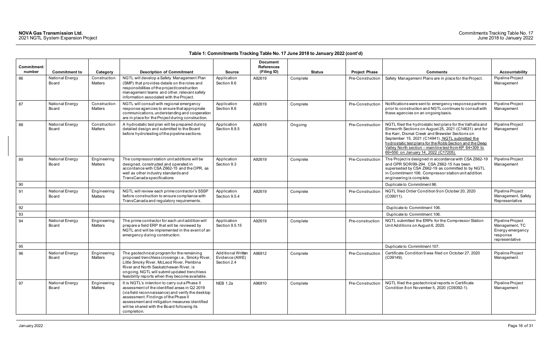|                      |                          |                                |                                                                                                                                                                                                                                                                                                             |                                                            | <b>Document</b>                  |               |                      |                                                                                                                                                                                                                                                                                                                                                                                        |                                                                                      |
|----------------------|--------------------------|--------------------------------|-------------------------------------------------------------------------------------------------------------------------------------------------------------------------------------------------------------------------------------------------------------------------------------------------------------|------------------------------------------------------------|----------------------------------|---------------|----------------------|----------------------------------------------------------------------------------------------------------------------------------------------------------------------------------------------------------------------------------------------------------------------------------------------------------------------------------------------------------------------------------------|--------------------------------------------------------------------------------------|
| Commitment<br>number | <b>Commitment to</b>     | Category                       | <b>Description of Commitment</b>                                                                                                                                                                                                                                                                            | <b>Source</b>                                              | <b>References</b><br>(Filing ID) | <b>Status</b> | <b>Project Phase</b> | <b>Comments</b>                                                                                                                                                                                                                                                                                                                                                                        | <b>Accountability</b>                                                                |
| 86                   | National Energy<br>Board | Construction<br>Matters        | NGTL will develop a Safety Management Plan<br>(SMP) that provides details on the roles and<br>responsibilities of the project/construction<br>management teams and other, relevant safety<br>information associated with the Project.                                                                       | Application<br>Section 8.6                                 | A92619                           | Complete      | Pre-Construction     | Safety Management Plans are in place for the Project.                                                                                                                                                                                                                                                                                                                                  | Pipeline Project<br>Management                                                       |
| 87                   | National Energy<br>Board | Construction<br>Matters        | NGTL will consult with regional emergency<br>response agencies to ensure that appropriate<br>communications, understanding and cooperation<br>are in place for the Project during construction.                                                                                                             | Application<br>Section 8.6                                 | A92619                           | Complete      | Pre-Construction     | Notifications were sent to emergency response partners<br>prior to construction and NGTL continues to consult with<br>these agencies on an ongoing basis.                                                                                                                                                                                                                              | Pipeline Project<br>Management                                                       |
| 88                   | National Energy<br>Board | Construction<br><b>Matters</b> | A hydrostatic test plan will be prepared during<br>detailed design and submitted to the Board<br>before hydrotesting of the pipeline sections.                                                                                                                                                              | Application<br>Section 8.8.5                               | A92619                           | Ongoing       | Pre-Construction     | NGTL filed the hydrostatic test plans for the Valhalla and<br>Elmworth Sections on August 25, 2021 (C14631) and for<br>the Karr, Dismal Creek and Brewster Sections on<br>September 15, 2021 (C14941). NGTL submitted the<br>hydrostatic test plans for the Robb Section and the Deep<br>Valley North section - mainline test from KP 64+309 to<br>69+550 on January 14, 2022 (C17205) | Pipeline Project<br>Management                                                       |
| 89                   | National Energy<br>Board | Engineering<br><b>Matters</b>  | The compressor station unit additions will be<br>designed, constructed and operated in<br>accordance with CSA Z662-15 and the OPR, as<br>well as other industry standards and<br>TransCanada specifications                                                                                                 | Application<br>Section 9.3                                 | A92619                           | Complete      | Pre-Construction     | The Project is designed in accordance with CSA Z662-19<br>and OPR SOR/99-294. CSA Z662-15 has been<br>superseded by CSA Z662-19 as committed to by NGTL<br>in Commitment 106. Compressor station unit addition<br>engineering is complete.                                                                                                                                             | Pipeline Project<br>Management                                                       |
| 90                   |                          |                                |                                                                                                                                                                                                                                                                                                             |                                                            |                                  |               |                      | Duplicate to Commitment 86.                                                                                                                                                                                                                                                                                                                                                            |                                                                                      |
| 91                   | National Energy<br>Board | Engineering<br>Matters         | NGTL will review each prime contractor's SSSP<br>before construction to ensure compliance with<br>TransCanada and regulatory requirements.                                                                                                                                                                  | Application<br>Section 9.5.4                               | A92619                           | Complete      | Pre-Construction     | NGTL filed Order Condition 9 on October 20, 2020<br>(C09011).                                                                                                                                                                                                                                                                                                                          | Pipeline Project<br>Management, Safety<br>Representative                             |
| 92                   |                          |                                |                                                                                                                                                                                                                                                                                                             |                                                            |                                  |               |                      | Duplicate to Commitment 106.                                                                                                                                                                                                                                                                                                                                                           |                                                                                      |
| 93                   |                          |                                |                                                                                                                                                                                                                                                                                                             |                                                            |                                  |               |                      | Duplicate to Commitment 106.                                                                                                                                                                                                                                                                                                                                                           |                                                                                      |
| 94                   | National Energy<br>Board | Engineering<br><b>Matters</b>  | The prime contractor for each unit addition will<br>prepare a field ERP that will be reviewed by<br>NGTL and will be implemented in the event of an<br>emergency during construction.                                                                                                                       | Application<br>Section 9.5.15                              | A92619                           | Complete      | Pre-construction     | NGTL submitted the ERPs for the Compressor Station<br>Unit Additions on August 6, 2020.                                                                                                                                                                                                                                                                                                | Pipeline Project<br>Management, TC<br>Energy emergency<br>response<br>representative |
| 95                   |                          |                                |                                                                                                                                                                                                                                                                                                             |                                                            |                                  |               |                      | Duplicate to Commitment 107.                                                                                                                                                                                                                                                                                                                                                           |                                                                                      |
| 96                   | National Energy<br>Board | Engineering<br>Matters         | The geotechnical program for the remaining<br>proposed trenchless crossings i.e., Smoky River,<br>Little Smoky River, McLeod River, Pembina<br>River and North Saskatchewan River, is<br>ongoing. NGTL will submit updated trenchless<br>feasibility reports when they become available.                    | <b>Additional Written</b><br>Evidence (AWE)<br>Section 2.4 | A96812                           | Complete      | Pre-Construction     | Certificate Condition 9 was filed on October 27, 2020<br>$(C09149)$ .                                                                                                                                                                                                                                                                                                                  | Pipeline Project<br>Management                                                       |
| 97                   | National Energy<br>Board | Engineering<br>Matters         | It is NGTL's intention to carry out a Phase II<br>assessment of the identified areas in Q2 2019<br>(via field reconnaissance) and verify the desktop<br>assessment. Findings of the Phase II<br>assessment and mitigation measures identified<br>will be shared with the Board following its<br>completion. | <b>NEB 1.2a</b>                                            | A96810                           | Complete      | Pre-Construction     | NGTL filed the geotechnical reports in Certificate<br>Condition 8 on November 5, 2020 (C09392-1).                                                                                                                                                                                                                                                                                      | Pipeline Project<br>Management                                                       |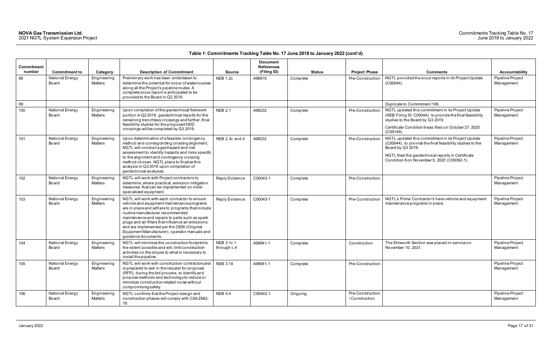|                   |                          |                               |                                                                                                                                                                                                                                                                                                                                                                                                                  |                           | Document          |               |                                    |                                                                                                                                                                                                                                           |                                |
|-------------------|--------------------------|-------------------------------|------------------------------------------------------------------------------------------------------------------------------------------------------------------------------------------------------------------------------------------------------------------------------------------------------------------------------------------------------------------------------------------------------------------|---------------------------|-------------------|---------------|------------------------------------|-------------------------------------------------------------------------------------------------------------------------------------------------------------------------------------------------------------------------------------------|--------------------------------|
| <b>Commitment</b> |                          |                               |                                                                                                                                                                                                                                                                                                                                                                                                                  |                           | <b>References</b> |               |                                    |                                                                                                                                                                                                                                           |                                |
| number            | <b>Commitment to</b>     | Category                      | <b>Description of Commitment</b>                                                                                                                                                                                                                                                                                                                                                                                 | <b>Source</b>             | (Filing ID)       | <b>Status</b> | <b>Project Phase</b>               | <b>Comments</b>                                                                                                                                                                                                                           | <b>Accountability</b>          |
| 98                | National Energy<br>Board | Engineering<br>Matters        | Preliminary work has been undertaken to<br>determine the potential for scour of watercourses<br>along all the Project's pipeline routes. A<br>complete scour report is anticipated to be<br>provided to the Board in Q2 2019.                                                                                                                                                                                    | <b>NEB 1.2c</b>           | A96810            | Complete      | Pre-Construction                   | NGTL provided the scour reports in its Project Update<br>$(C00044)$ .                                                                                                                                                                     | Pipeline Project<br>Management |
| 99                |                          |                               |                                                                                                                                                                                                                                                                                                                                                                                                                  |                           |                   |               |                                    | Duplicate to Commitment 106.                                                                                                                                                                                                              |                                |
| 100               | National Energy<br>Board | Engineering<br>Matters        | Upon completion of the geotechnical fieldwork<br>portion in Q2 2019, geotechnical reports for the<br>remaining trenchless crossings and further, final<br>feasibility studies for the proposed HDD<br>crossings will be completed by Q3 2019.                                                                                                                                                                    | <b>NEB 2.1</b>            | A98232            | Complete      | Pre-Construction                   | NGTL updated this commitment in its Project Update<br>(NEB Filing ID: C00044), to provide the final feasibility<br>studies to the Board by Q3 2019.<br>Certificate Condition 9 was filed on October 27, 2020<br>$(C09149)$ .              | Pipeline Project<br>Management |
| 101               | National Energy<br>Board | Engineering<br>Matters        | Upon determination of a feasible contingency<br>method and corresponding crossing alignment,<br>NGTL will conduct a geohazard and risk<br>assessment to identify hazards and risks specific<br>to the alignment and contingency crossing<br>method chosen. NGTL plans to finalize this<br>analysis in Q3 2019 upon completion of                                                                                 | NEB 2.3c and d            | A98232            | Complete      | Pre-Construction                   | NGTL updated this commitment in its Project Update<br>(C00044), to provide the final feasibility studies to the<br>Board by Q3 2019.<br>NGTL filed the geotechnical reports in Certificate<br>Condition 8 on November 5, 2020 (C09392-1). | Pipeline Project<br>Management |
|                   |                          |                               | geotechnical analyses.                                                                                                                                                                                                                                                                                                                                                                                           |                           |                   |               |                                    |                                                                                                                                                                                                                                           |                                |
| 102               | National Energy<br>Board | Engineering<br>Matters        | NGTL will work with Project contractors to<br>determine, where practical, emission mitigation<br>measures that can be implemented on older<br>specialized equipment.                                                                                                                                                                                                                                             | Reply Evidence            | C00043-1          | Complete      | Pre-Construction                   |                                                                                                                                                                                                                                           | Pipeline Project<br>Management |
| 103               | National Energy<br>Board | Engineering<br>Matters        | NGTL will work with each contractor to ensure<br>vehicle and equipment maintenance programs<br>are in place and adhere to programs that include<br>routine manufacturer recommended<br>maintenance and repairs to parts such as spark<br>plugs and air filters that influence air emissions<br>and are implemented per the OEM (Original<br>Equipment Manufacturer), operator manuals and<br>quidance documents. | Reply Evidence            | C00043-1          | Complete      | Pre-Construction                   | NGTL's Prime Contractor's have vehicle and equipment<br>maintenance programs in place.                                                                                                                                                    | Pipeline Project<br>Management |
| 104               | National Energy<br>Board | Engineering<br><b>Matters</b> | NGTL will minimize the construction footprint to<br>the extent possible and will, limit construction<br>activities on the slopes to what is necessary to<br>install the pipeline.                                                                                                                                                                                                                                | NEB 3.1c.1<br>through c.4 | A99941-1          | Complete      | Construction                       | The Elmworth Section was placed in-service on<br>November 10, 2021.                                                                                                                                                                       | Pipeline Project<br>Management |
| 105               | National Energy<br>Board | Engineering<br>Matters        | NGTL will work with construction contractors and<br>is prepared to ask in the request for proposal<br>(RFP), during the bid process, to identify and<br>propose methods and technology to reduce or<br>minimize construction related noise without<br>compromising safety.                                                                                                                                       | <b>NEB 3.14</b>           | A99941-1          | Complete      | Pre-Construction                   |                                                                                                                                                                                                                                           | Pipeline Project<br>Management |
| 106               | National Energy<br>Board | Engineering<br>Matters        | NGTL confirms that the Project design and<br>construction phases will comply with CSAZ662-<br>19.                                                                                                                                                                                                                                                                                                                | <b>NEB 4.4</b>            | C00542-1          | Ongoing       | Pre-Construction<br>/ Construction |                                                                                                                                                                                                                                           | Pipeline Project<br>Management |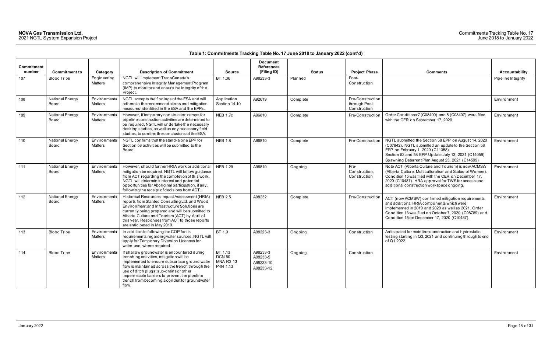| Commitment<br>number | <b>Commitment to</b>     | Category                        | <b>Description of Commitment</b>                                                                                                                                                                                                                                                                                                                    | <b>Source</b>                                                   | <b>Document</b><br><b>References</b><br>(Filing ID) | <b>Status</b> | <b>Project Phase</b>                              | <b>Comments</b>                                                                                                                                                                                                                                                            | <b>Accountability</b> |
|----------------------|--------------------------|---------------------------------|-----------------------------------------------------------------------------------------------------------------------------------------------------------------------------------------------------------------------------------------------------------------------------------------------------------------------------------------------------|-----------------------------------------------------------------|-----------------------------------------------------|---------------|---------------------------------------------------|----------------------------------------------------------------------------------------------------------------------------------------------------------------------------------------------------------------------------------------------------------------------------|-----------------------|
| 107                  | <b>Blood Tribe</b>       | Engineering<br><b>Matters</b>   | NGTL will implement TransCanada's<br>comprehensive Integrity Management Program<br>(IMP) to monitor and ensure the integrity of the<br>Project.                                                                                                                                                                                                     | BT 1.36                                                         | A98233-3                                            | Planned       | Post-<br>Construction                             |                                                                                                                                                                                                                                                                            | Pipeline Integrity    |
| 108                  | National Energy<br>Board | Environmental<br>Matters        | NGTL accepts the findings of the ESA and will<br>adhere to the recommendations and mitigation<br>measures identified in the ESA and the EPPs.                                                                                                                                                                                                       | Application<br>Section 14.10                                    | A92619                                              | Complete      | Pre-Construction<br>through Post-<br>Construction |                                                                                                                                                                                                                                                                            | Environment           |
| 109                  | National Energy<br>Board | Environmental<br>Matters        | However, if temporary construction camps for<br>pipeline construction activities are determined to<br>be required, NGTL will undertake the necessary<br>desktop studies, as well as any necessary field<br>studies, to confirm the conclusions of the ESA.                                                                                          | <b>NEB 1.7c</b>                                                 | A96810                                              | Complete      | Pre-Construction                                  | Order Conditions 7 (C08400) and 8 (C08407) were filed<br>with the CER on September 17, 2020.                                                                                                                                                                               | Environment           |
| 110                  | National Energy<br>Board | Environmental<br><b>Matters</b> | NGTL confirms that the stand-alone EPP for<br>Section 58 activities will be submitted to the<br>Board                                                                                                                                                                                                                                               | <b>NEB 1.8</b>                                                  | A96810                                              | Complete      | Pre-Construction                                  | NGTL submitted the Section 58 EPP on August 14, 2020<br>(C07842). NGTL submitted an update to the Section 58<br>EPP on February 1, 2020 (C11358).<br>Section 52 and 58 EPP Update July 13, 2021 (C14059)<br>Spawning Deterrent Plan August 23, 2021 (C14599)               | Environment           |
| 111                  | National Energy<br>Board | Environmental<br><b>Matters</b> | However, should further HRIA work or additional<br>mitigation be required, NGTL will follow guidance<br>from ACT regarding the completion of this work.<br>NGTL will determine interest and potential<br>opportunities for Aboriginal participation, if any,<br>following the receipt of decisions from ACT.                                        | <b>NEB 1.29</b>                                                 | A96810                                              | Ongoing       | Pre-<br>Construction,<br>Construction             | Note ACT (Alberta Culture and Tourism) is now ACMSW<br>(Alberta Culture, Multiculturalism and Status of Women).<br>Condition 15 was filed with the CER on December 17,<br>2020 (C10487). HRA approval for TWS for access and<br>additional construction workspace ongoing. | Environment           |
| 112                  | National Energy<br>Board | Environmental<br>Matters        | Historical Resources Impact Assessment (HRIA)<br>reports from Stantec Consulting Ltd. and Wood<br>Environment and Infrastructure Solutions are<br>currently being prepared and will be submitted to<br>Alberta Culture and Tourism (ACT) by April of<br>this year. Responses from ACT to those reports<br>are anticipated in May 2019.              | <b>NEB 2.5</b>                                                  | A98232                                              | Complete      | Pre-Construction                                  | ACT (now ACMSW) confirmed mitigation requirements<br>and additional HRIA components which were<br>implemented in 2019 and 2020 as well as 2021. Order<br>Condition 13 was filed on October 7, 2020 (C08789) and<br>Condition 15 on December 17, 2020 (C10487).             | Environment           |
| 113                  | <b>Blood Tribe</b>       | Environmental<br>Matters        | In addition to following the COP for its<br>requirements regarding water sources, NGTL will<br>apply for Temporary Diversion Licenses for<br>water use, where required.                                                                                                                                                                             | BT 1.9                                                          | A98223-3                                            | Ongoing       | Construction                                      | Anticipated for mainline construction and hydrostatic<br>testing starting in Q3, 2021 and continuing through to end<br>of Q1 2022.                                                                                                                                         | Environment           |
| 114                  | <b>Blood Tribe</b>       | Environmental<br>Matters        | If shallow groundwater is encountered during<br>trenching activities, mitigation will be<br>implemented to ensure subsurface ground water<br>flow is maintained across the trench through the<br>use of ditch plugs, sub-drains or other<br>impermeable barriers to prevent the pipeline<br>trench from becoming a conduit for groundwater<br>flow. | BT 1.13<br><b>DCN 50</b><br><b>MNA R3 13</b><br><b>PKN 1.13</b> | A98233-3<br>A98233-5<br>A98233-10<br>A98233-12      | Ongoing       | Construction                                      |                                                                                                                                                                                                                                                                            | Environment           |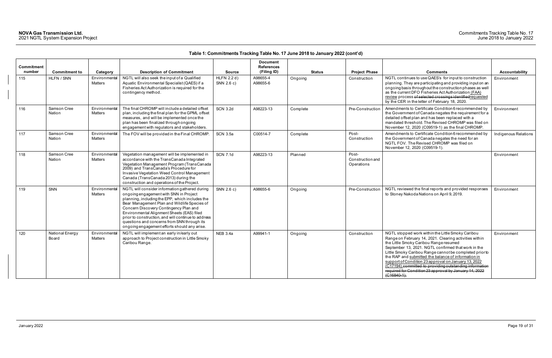| Commitment |                          |                                 |                                                                                                                                                                                                                                                                                                                                                                                                                                           |                           | <b>Document</b><br><b>References</b> |               |                                         |                                                                                                                                                                                                                                                                                                                                                                                                                                                                                                                               |                      |
|------------|--------------------------|---------------------------------|-------------------------------------------------------------------------------------------------------------------------------------------------------------------------------------------------------------------------------------------------------------------------------------------------------------------------------------------------------------------------------------------------------------------------------------------|---------------------------|--------------------------------------|---------------|-----------------------------------------|-------------------------------------------------------------------------------------------------------------------------------------------------------------------------------------------------------------------------------------------------------------------------------------------------------------------------------------------------------------------------------------------------------------------------------------------------------------------------------------------------------------------------------|----------------------|
| number     | <b>Commitment to</b>     | Category                        | <b>Description of Commitment</b>                                                                                                                                                                                                                                                                                                                                                                                                          | <b>Source</b>             | (Filing ID)                          | <b>Status</b> | <b>Project Phase</b>                    | <b>Comments</b>                                                                                                                                                                                                                                                                                                                                                                                                                                                                                                               | Accountability       |
| 115        | HLFN / SNN               | Environmental<br>Matters        | NGTL will also seek the input of a Qualified<br>Aquatic Environmental Specialist (QAES) if a<br>Fisheries Act Authorization is required for the<br>contingency method.                                                                                                                                                                                                                                                                    | HLFN 2.2 d)<br>SNN 2.6 c) | A98655-4<br>A98655-6                 | Ongoing       | Construction                            | NGTL continues to use QAES's for input to construction<br>planning. They are participating and providing input on an<br>ongoing basis throughout the construction phases as well<br>as the current DFO Fisheries Act Authorization (FAA)<br>review process of selected crossings identified requested<br>by the CER in the letter of February 18, 2020.                                                                                                                                                                       | Environment          |
| 116        | Samson Cree<br>Nation    | Environmental<br>Matters        | The final CHROMP will include a detailed offset<br>plan, including the final plan for the GPML offset<br>measures, and will be implemented once the<br>plan has been finalized through ongoing<br>engagement with regulators and stakeholders.                                                                                                                                                                                            | <b>SCN 3.2d</b>           | A98223-13                            | Complete      | Pre-Construction                        | Amendments to Certificate Condition 6 recommended by<br>the Government of Canada negates the requirement for a<br>detailed offset plan and has been replaced with a<br>mandated threshold. The Revised CHROMP was filed on<br>November 12, 2020 (C09519-1) as the final CHROMP.                                                                                                                                                                                                                                               | Environment          |
| 117        | Samson Cree<br>Nation    | Environmental<br><b>Matters</b> | The FOV will be provided in the Final CHROMP.                                                                                                                                                                                                                                                                                                                                                                                             | <b>SCN 3.5a</b>           | C00514-7                             | Complete      | Post-<br>Construction                   | Amendments to Certificate Condition 6 recommended by<br>the Government of Canada negates the need for an<br>NGTL FOV. The Revised CHROMP was filed on<br>November 12, 2020 (C09519-1).                                                                                                                                                                                                                                                                                                                                        | Indigenous Relations |
| 118        | Samson Cree<br>Nation    | Environmental<br><b>Matters</b> | Vegetation management will be implemented in<br>accordance with the TransCanada Integrated<br>Vegetation Management Program (TransCanada<br>2009) and TransCanada's Procedure for<br>Invasive Vegetation Weed Control Management<br>Canada (TransCanada 2013) during the<br>construction and operations of the Project.                                                                                                                   | <b>SCN 7.1d</b>           | A98223-13                            | Planned       | Post-<br>Construction and<br>Operations |                                                                                                                                                                                                                                                                                                                                                                                                                                                                                                                               | Environment          |
| 119        | <b>SNN</b>               | Environmental<br><b>Matters</b> | NGTL will consider information gathered during<br>ongoing engagement with SNN in Project<br>planning, including the EPP, which includes the<br>Bear Management Plan and Wildlife Species of<br>Concern Discovery Contingency Plan and<br>Environmental Alignment Sheets (EAS) filed<br>prior to construction, and will continue to address<br>questions and concerns from SNN through its<br>ongoing engagement efforts should any arise. | SNN 2.6 c)                | A98655-6                             | Ongoing       | Pre-Construction                        | NGTL reviewed the final reports and provided responses<br>to Stoney Nakoda Nations on April 9, 2019.                                                                                                                                                                                                                                                                                                                                                                                                                          | Environment          |
| 120        | National Energy<br>Board | Environmental<br>Matters        | NGTL will implement an early in/early out<br>approach to Project construction in Little Smoky<br>Caribou Range.                                                                                                                                                                                                                                                                                                                           | <b>NEB 3.4a</b>           | A99941-1                             | Ongoing       | Construction                            | NGTL stopped work within the Little Smoky Caribou<br>Range on February 14, 2021. Clearing activities within<br>the Little Smoky Caribou Range resumed<br>September 13, 2021. NGTL confirmed that work in the<br>Little Smoky Caribou Range cannot be completed prior to<br>the RAP and submitted the balance of information in<br>support of Condition 23 approval on January 13, 2022<br>(C17194) committed to providing outstanding information<br>required for Condition 23 approval by January 14, 2022<br>$($ G16840-1). | Environment          |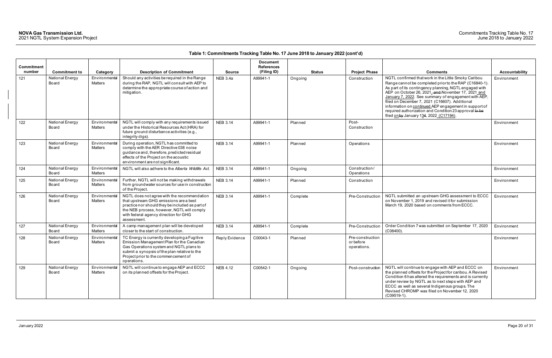| <b>Commitment</b><br>number | <b>Commitment to</b>     | Category                 | <b>Description of Commitment</b>                                                                                                                                                                                                               | <b>Source</b>   | <b>Document</b><br><b>References</b><br>(Filing ID) | <b>Status</b> | <b>Project Phase</b>                         | <b>Comments</b>                                                                                                                                                                                                                                                                                                                                                                                                                                                                                       | Accountability |
|-----------------------------|--------------------------|--------------------------|------------------------------------------------------------------------------------------------------------------------------------------------------------------------------------------------------------------------------------------------|-----------------|-----------------------------------------------------|---------------|----------------------------------------------|-------------------------------------------------------------------------------------------------------------------------------------------------------------------------------------------------------------------------------------------------------------------------------------------------------------------------------------------------------------------------------------------------------------------------------------------------------------------------------------------------------|----------------|
| 121                         | National Energy<br>Board | Environmental<br>Matters | Should any activities be required in the Range<br>during the RAP, NGTL will consult with AEP to<br>determine the appropriate course of action and<br>mitigation.                                                                               | <b>NEB 3.4a</b> | A99941-1                                            | Ongoing       | Construction                                 | NGTL confirmed that work in the Little Smoky Caribou<br>Range cannot be completed prior to the RAP (C16840-1).<br>As part of its contingency planning, NGTL engaged with<br>AEP on October 26, 2021, and November 17, 2021 and<br>January 7, 2022. See summary of engagement with AEP,<br>filed on December 7, 2021 (C16607). Additional<br>information on continued AEP engagement in support of<br>required authorization and Condition 23 approval to be<br>filed onby January 134, 2022 (C17194). | Environment    |
| 122                         | National Energy<br>Board | Environmental<br>Matters | NGTL will comply with any requirements issued<br>under the Historical Resources Act (HRA) for<br>future ground disturbance activities (e.g.,<br>integrity digs).                                                                               | <b>NEB 3.14</b> | A99941-1                                            | Planned       | Post-<br>Construction                        |                                                                                                                                                                                                                                                                                                                                                                                                                                                                                                       | Environment    |
| 123                         | National Energy<br>Board | Environmental<br>Matters | During operation, NGTL has committed to<br>comply with the AER Directive 038 noise<br>guidance and, therefore, predicted residual<br>effects of the Project on the acoustic<br>environment are not significant.                                | <b>NEB 3.14</b> | A99941-1                                            | Planned       | Operations                                   |                                                                                                                                                                                                                                                                                                                                                                                                                                                                                                       | Environment    |
| 124                         | National Energy<br>Board | Environmental<br>Matters | NGTL will also adhere to the Alberta Wildlife Act.                                                                                                                                                                                             | <b>NEB 3.14</b> | A99941-1                                            | Ongoing       | Construction/<br>Operations                  |                                                                                                                                                                                                                                                                                                                                                                                                                                                                                                       | Environment    |
| 125                         | National Energy<br>Board | Environmental<br>Matters | Further, NGTL will not be making withdrawals<br>from groundwater sources for use in construction<br>of the Project.                                                                                                                            | <b>NEB 3.14</b> | A99941-1                                            | Planned       | Construction                                 |                                                                                                                                                                                                                                                                                                                                                                                                                                                                                                       | Environment    |
| 126                         | National Energy<br>Board | Environmental<br>Matters | NGTL does not agree with the recommendation<br>that upstream GHG emissions are a best<br>practice nor should they be included as part of<br>the NEB process, however, NGTL will comply<br>with federal agency direction for GHG<br>assessment. | <b>NEB 3.14</b> | A99941-1                                            | Complete      | Pre-Construction                             | NGTL submitted an upstream GHG assessment to ECCC<br>on November 1, 2019 and revised it for submission<br>March 19, 2020 based on comments from ECCC.                                                                                                                                                                                                                                                                                                                                                 | Environment    |
| 127                         | National Energy<br>Board | Environmental<br>Matters | A camp management plan will be developed<br>closer to the start of construction.                                                                                                                                                               | <b>NEB 3.14</b> | A99941-1                                            | Complete      | Pre-Construction                             | Order Condition 7 was submitted on September 17, 2020<br>$(C08400)$ .                                                                                                                                                                                                                                                                                                                                                                                                                                 | Environment    |
| 128                         | National Energy<br>Board | Environmental<br>Matters | TC Energy is currently developing a Fugitive<br>Emission Management Plan for the Canadian<br>Gas Operations system and NGTL plans to<br>submit a synopsis of the plan relative to the<br>Project prior to the commencement of<br>operations.   | Reply Evidence  | C00043-1                                            | Planned       | Pre-construction<br>or before<br>operations. |                                                                                                                                                                                                                                                                                                                                                                                                                                                                                                       | Environment    |
| 129                         | National Energy<br>Board | Environmental<br>Matters | NGTL will continue to engage AEP and ECCC<br>on its planned offsets for the Project.                                                                                                                                                           | <b>NEB 4.12</b> | C00542-1                                            | Ongoing       | Post-construction                            | NGTL will continue to engage with AEP and ECCC on<br>the planned offsets for the Project for caribou. A Revised<br>Condition 6 has altered the requirements and is currently<br>under review by NGTL as to next steps with AEP and<br>ECCC as well as several Indigenous groups. The<br>Revised CHROMP was filed on November 12, 2020<br>(C09519-1).                                                                                                                                                  | Environment    |

| Comments                                                                                                                                                                                                                                                                                                                                                                                                                                                                                               | <b>Accountability</b> |
|--------------------------------------------------------------------------------------------------------------------------------------------------------------------------------------------------------------------------------------------------------------------------------------------------------------------------------------------------------------------------------------------------------------------------------------------------------------------------------------------------------|-----------------------|
| NGTL confirmed that work in the Little Smoky Caribou<br>Range cannot be completed prior to the RAP (C16840-1).<br>As part of its contingency planning, NGTL engaged with<br>AEP on October 26, 2021, and November 17, 2021 and<br>January 7, 2022. See summary of engagement with AEP,<br>filed on December 7, 2021 (C16607). Additional<br>information on continued AEP engagement in support of<br>required authorization and Condition 23 approval to be<br>filed on by January 134, 2022 (C17194). | Environment           |
|                                                                                                                                                                                                                                                                                                                                                                                                                                                                                                        | Environment           |
|                                                                                                                                                                                                                                                                                                                                                                                                                                                                                                        | Environment           |
|                                                                                                                                                                                                                                                                                                                                                                                                                                                                                                        | Environment           |
|                                                                                                                                                                                                                                                                                                                                                                                                                                                                                                        | Environment           |
| NGTL submitted an upstream GHG assessment to ECCC<br>on November 1, 2019 and revised it for submission<br>March 19, 2020 based on comments from ECCC.                                                                                                                                                                                                                                                                                                                                                  | Environment           |
| Order Condition 7 was submitted on September 17, 2020<br>$(C08400)$ .                                                                                                                                                                                                                                                                                                                                                                                                                                  | Environment           |
|                                                                                                                                                                                                                                                                                                                                                                                                                                                                                                        | Environment           |
| NGTL will continue to engage with AEP and ECCC on<br>the planned offsets for the Project for caribou. A Revised<br>Condition 6 has altered the requirements and is currently<br>under review by NGTL as to next steps with AEP and<br>ECCC as well as several Indigenous groups. The<br>Revised CHROMP was filed on November 12, 2020<br>$(C09519-1).$                                                                                                                                                 | Environment           |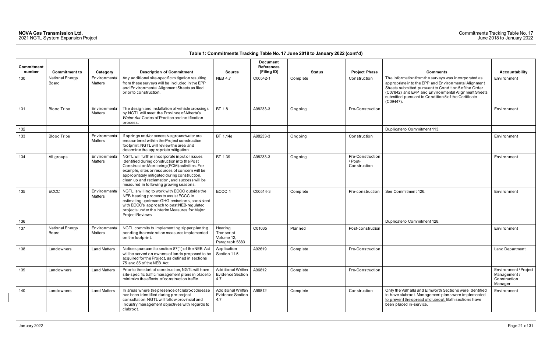| Commitment<br>number | <b>Commitment to</b>     | Category                        | <b>Description of Commitment</b>                                                                                                                                                                                                                                                                                                            | <b>Source</b>                                         | <b>Document</b><br><b>References</b><br>(Filing ID) | <b>Status</b> | <b>Project Phase</b>                        | <b>Comments</b>                                                                                                                                                                                                                                                                                   | <b>Accountability</b>                                         |
|----------------------|--------------------------|---------------------------------|---------------------------------------------------------------------------------------------------------------------------------------------------------------------------------------------------------------------------------------------------------------------------------------------------------------------------------------------|-------------------------------------------------------|-----------------------------------------------------|---------------|---------------------------------------------|---------------------------------------------------------------------------------------------------------------------------------------------------------------------------------------------------------------------------------------------------------------------------------------------------|---------------------------------------------------------------|
| 130                  | National Energy<br>Board | Environmental<br>Matters        | Any additional site-specific mitigation resulting<br>from these surveys will be included in the EPP<br>and Environmental Alignment Sheets as filed<br>prior to construction.                                                                                                                                                                | <b>NEB 4.7</b>                                        | C00542-1                                            | Complete      | Construction                                | The information from the surveys was incorporated as<br>appropriate into the EPP and Environmental Alignment<br>Sheets submitted pursuant to Condition 5 of the Order<br>(C07842) and EPP and Environmental Alignment Sheets<br>submitted pursuant to Condition 5 of the Certificate<br>(C09447). | Environment                                                   |
| 131                  | <b>Blood Tribe</b>       | Environmental<br>Matters        | The design and installation of vehicle crossings<br>by NGTL will meet the Province of Alberta's<br>Water Act Codes of Practice and notification<br>process.                                                                                                                                                                                 | BT 1.8                                                | A98233-3                                            | Ongoing       | Pre-Construction                            |                                                                                                                                                                                                                                                                                                   | Environment                                                   |
| 132                  |                          |                                 |                                                                                                                                                                                                                                                                                                                                             |                                                       |                                                     |               |                                             | Duplicate to Commitment 113.                                                                                                                                                                                                                                                                      |                                                               |
| 133                  | <b>Blood Tribe</b>       | Environmental<br>Matters        | If springs and/or excessive groundwater are<br>encountered within the Project construction<br>footprint, NGTL will review the area and<br>determine the appropriate mitigation.                                                                                                                                                             | BT 1.14e                                              | A98233-3                                            | Ongoing       | Construction                                |                                                                                                                                                                                                                                                                                                   | Environment                                                   |
| 134                  | All groups               | Environmental<br><b>Matters</b> | NGTL will further incorporate input or issues<br>identified during construction into the Post<br>Construction Monitoring (PCM) activities. For<br>example, sites or resources of concern will be<br>appropriately mitigated during construction,<br>clean up and reclamation, and success will be<br>measured in following growing seasons. | BT 1.39                                               | A98233-3                                            | Ongoing       | Pre-Construction<br>/ Post-<br>Construction |                                                                                                                                                                                                                                                                                                   | Environment                                                   |
| 135                  | <b>ECCC</b>              | Environmental<br>Matters        | NGTL is willing to work with ECCC outside the<br>NEB hearing process to assist ECCC in<br>estimating upstream GHG emissions, consistent<br>with ECCC's approach to past NEB-regulated<br>projects under the Interim Measures for Major<br>Project Reviews                                                                                   | ECCC 1                                                | C00514-3                                            | Complete      | Pre-construction                            | See Commitment 126.                                                                                                                                                                                                                                                                               | Environment                                                   |
| 136                  |                          |                                 |                                                                                                                                                                                                                                                                                                                                             |                                                       |                                                     |               |                                             | Duplicate to Commitment 128.                                                                                                                                                                                                                                                                      |                                                               |
| 137                  | National Energy<br>Board | Environmental<br>Matters        | NGTL commits to implementing zipper planting<br>pending the restoration measures implemented<br>on the footprint.                                                                                                                                                                                                                           | Hearing<br>Transcript<br>Volume 12,<br>Paragraph 5883 | C01035                                              | Planned       | Post-construction                           |                                                                                                                                                                                                                                                                                                   | Environment                                                   |
| 138                  | Landowners               | <b>Land Matters</b>             | Notices pursuant to section 87(1) of the NEB Act<br>will be served on owners of lands proposed to be<br>acquired for the Project, as defined in sections<br>75 and 85 of the NEB Act.                                                                                                                                                       | Application<br>Section 11.5                           | A92619                                              | Complete      | Pre-Construction                            |                                                                                                                                                                                                                                                                                                   | Land Department                                               |
| 139                  | Landowners               | <b>Land Matters</b>             | Prior to the start of construction, NGTL will have<br>site-specific traffic management plans in place to<br>minimize the effects of construction traffic.                                                                                                                                                                                   | Additional Written<br>Evidence Section<br>4.7         | A96812                                              | Complete      | Pre-Construction                            |                                                                                                                                                                                                                                                                                                   | Environment/Project<br>Management/<br>Construction<br>Manager |
| 140                  | Landowners               | <b>Land Matters</b>             | In areas where the presence of clubroot disease<br>has been identified during pre-project<br>consultation, NGTL will follow provincial and<br>industry management objectives with regards to<br>clubroot.                                                                                                                                   | Additional Written<br><b>Evidence Section</b><br>4.7  | A96812                                              | Complete      | Construction                                | Only the Valhalla and Elmworth Sections were identified<br>to have clubroot. Management plans were implemented<br>to prevent the spread of clubroot. Both sections have<br>been placed in-service.                                                                                                | Environment                                                   |

| <b>Comments</b>                                                                                                                                                                                                                                                                                   |                                                               |
|---------------------------------------------------------------------------------------------------------------------------------------------------------------------------------------------------------------------------------------------------------------------------------------------------|---------------------------------------------------------------|
| The information from the surveys was incorporated as<br>appropriate into the EPP and Environmental Alignment<br>Sheets submitted pursuant to Condition 5 of the Order<br>(C07842) and EPP and Environmental Alignment Sheets<br>submitted pursuant to Condition 5 of the Certificate<br>(C09447). | <b>Accountability</b><br>Environment                          |
|                                                                                                                                                                                                                                                                                                   | Environment                                                   |
| Duplicate to Commitment 113.                                                                                                                                                                                                                                                                      |                                                               |
|                                                                                                                                                                                                                                                                                                   | Environment                                                   |
|                                                                                                                                                                                                                                                                                                   | Environment                                                   |
| See Commitment 126.                                                                                                                                                                                                                                                                               | Environment                                                   |
| Duplicate to Commitment 128.                                                                                                                                                                                                                                                                      |                                                               |
|                                                                                                                                                                                                                                                                                                   | Environment                                                   |
|                                                                                                                                                                                                                                                                                                   | Land Department                                               |
|                                                                                                                                                                                                                                                                                                   | Environment/Project<br>Management/<br>Construction<br>Manager |
| Only the Valhalla and Elmworth Sections were identified<br>to have clubroot. Management plans were implemented<br>to prevent the spread of clubroot. Both sections have<br>been placed in-service.                                                                                                | Environment                                                   |
|                                                                                                                                                                                                                                                                                                   |                                                               |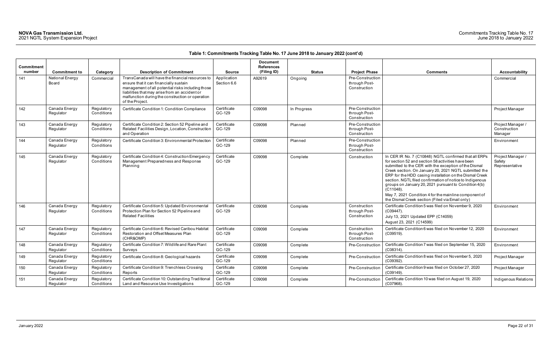| Commitment<br>number | <b>Commitment to</b>       | Category                 | <b>Description of Commitment</b>                                                                                                                                                                                                                                         | <b>Source</b>              | <b>Document</b><br><b>References</b><br>(Filing ID) | <b>Status</b> | <b>Project Phase</b>                              | <b>Comments</b>                                                                                                                                                                                                                                                                                                                                                                                                                                                                                                                           | Accountability                                |
|----------------------|----------------------------|--------------------------|--------------------------------------------------------------------------------------------------------------------------------------------------------------------------------------------------------------------------------------------------------------------------|----------------------------|-----------------------------------------------------|---------------|---------------------------------------------------|-------------------------------------------------------------------------------------------------------------------------------------------------------------------------------------------------------------------------------------------------------------------------------------------------------------------------------------------------------------------------------------------------------------------------------------------------------------------------------------------------------------------------------------------|-----------------------------------------------|
| 141                  | National Energy<br>Board   | Commercial               | TransCanada will have the financial resources to<br>ensure that it can financially sustain<br>management of all potential risks including those<br>liabilities that may arise from an accident or<br>malfunction during the construction or operation<br>of the Project. | Application<br>Section 6.6 | A92619                                              | Ongoing       | Pre-Construction<br>through Post-<br>Construction |                                                                                                                                                                                                                                                                                                                                                                                                                                                                                                                                           | Commercial                                    |
| 142                  | Canada Energy<br>Regulator | Regulatory<br>Conditions | Certificate Condition 1: Condition Compliance                                                                                                                                                                                                                            | Certificate<br>GC-129      | C09098                                              | In Progress   | Pre-Construction<br>through Post-<br>Construction |                                                                                                                                                                                                                                                                                                                                                                                                                                                                                                                                           | Project Manager                               |
| 143                  | Canada Energy<br>Regulator | Regulatory<br>Conditions | Certificate Condition 2: Section 52 Pipeline and<br>Related Facilities Design, Location, Construction<br>and Operation                                                                                                                                                   | Certificate<br>GC-129      | C09098                                              | Planned       | Pre-Construction<br>through Post-<br>Construction |                                                                                                                                                                                                                                                                                                                                                                                                                                                                                                                                           | Project Manager /<br>Construction<br>Manager  |
| 144                  | Canada Energy<br>Regulator | Regulatory<br>Conditions | Certificate Condition 3: Environmental Protection                                                                                                                                                                                                                        | Certificate<br>GC-129      | C09098                                              | Planned       | Pre-Construction<br>through Post-<br>Construction |                                                                                                                                                                                                                                                                                                                                                                                                                                                                                                                                           | Environment                                   |
| 145                  | Canada Energy<br>Regulator | Regulatory<br>Conditions | Certificate Condition 4: Construction Emergency<br>Management Preparedness and Response<br>Planning                                                                                                                                                                      | Certificate<br>GC-129      | C09098                                              | Complete      | Construction                                      | In CER IR No. 7 (C10848) NGTL confirmed that all ERPs<br>for section 52 and section 58 activities have been<br>submitted to the CER with the exception of the Dismal<br>Creek section. On January 20, 2021 NGTL submitted the<br>ERP for the HDD casing installation on the Dismal Creek<br>section. NGTL filed confirmation of notice to Indigenous<br>groups on January 20, 2021 pursuant to Condition 4(b)<br>$(C11048)$ .<br>May 7, 2021 Condition 4 for the mainline component of<br>the Dismal Creek section (Filed via Email only) | Project Manager /<br>Safety<br>Representative |
| 146                  | Canada Energy<br>Regulator | Regulatory<br>Conditions | Certificate Condition 5: Updated Environmental<br>Protection Plan for Section 52 Pipeline and<br><b>Related Facilities</b>                                                                                                                                               | Certificate<br>GC-129      | C09098                                              | Complete      | Construction<br>through Post-<br>Construction     | Certificate Condition 5 was filed on November 9, 2020<br>$(C09447)$ .<br>July 13, 2021 Updated EPP (C14059)<br>August 23, 2021 (C14599)                                                                                                                                                                                                                                                                                                                                                                                                   | Environment                                   |
| 147                  | Canada Energy<br>Regulator | Regulatory<br>Conditions | Certificate Condition 6: Revised Caribou Habitat<br>Restoration and Offset Measures Plan<br>(CHR&OMP)                                                                                                                                                                    | Certificate<br>GC-129      | C09098                                              | Complete      | Construction<br>through Post-<br>Construction     | Certificate Condition 6 was filed on November 12, 2020<br>(C09519).                                                                                                                                                                                                                                                                                                                                                                                                                                                                       | Environment                                   |
| 148                  | Canada Energy<br>Regulator | Regulatory<br>Conditions | Certificate Condition 7: Wildlife and Rare Plant<br>Surveys                                                                                                                                                                                                              | Certificate<br>GC-129      | C09098                                              | Complete      | Pre-Construction                                  | Certificate Condition 7 was filed on September 15, 2020<br>$(C08314)$ .                                                                                                                                                                                                                                                                                                                                                                                                                                                                   | Environment                                   |
| 149                  | Canada Energy<br>Regulator | Regulatory<br>Conditions | Certificate Condition 8: Geological hazards                                                                                                                                                                                                                              | Certificate<br>GC-129      | C09098                                              | Complete      | Pre-Construction                                  | Certificate Condition 8 was filed on November 5, 2020<br>$(C09392)$ .                                                                                                                                                                                                                                                                                                                                                                                                                                                                     | Project Manager                               |
| 150                  | Canada Energy<br>Regulator | Regulatory<br>Conditions | Certificate Condition 9: Trenchless Crossing<br>Reports                                                                                                                                                                                                                  | Certificate<br>GC-129      | C09098                                              | Complete      | Pre-Construction                                  | Certificate Condition 9 was filed on October 27, 2020<br>(C09149).                                                                                                                                                                                                                                                                                                                                                                                                                                                                        | Project Manager                               |
| 151                  | Canada Energy<br>Regulator | Regulatory<br>Conditions | Certificate Condition 10: Outstanding Traditiona<br>Land and Resource Use Investigations                                                                                                                                                                                 | Certificate<br>GC-129      | C09098                                              | Complete      | Pre-Construction                                  | Certificate Condition 10 was filed on August 19, 2020<br>$(C07968)$ .                                                                                                                                                                                                                                                                                                                                                                                                                                                                     | Indigenous Relatio                            |

| <b>Comments</b>                                                                                                                                                                                                                                                                                                                                                                                                                                                                                                                        | <b>Accountability</b>                         |
|----------------------------------------------------------------------------------------------------------------------------------------------------------------------------------------------------------------------------------------------------------------------------------------------------------------------------------------------------------------------------------------------------------------------------------------------------------------------------------------------------------------------------------------|-----------------------------------------------|
|                                                                                                                                                                                                                                                                                                                                                                                                                                                                                                                                        | Commercial                                    |
|                                                                                                                                                                                                                                                                                                                                                                                                                                                                                                                                        | Project Manager                               |
|                                                                                                                                                                                                                                                                                                                                                                                                                                                                                                                                        | Project Manager /<br>Construction<br>Manager  |
|                                                                                                                                                                                                                                                                                                                                                                                                                                                                                                                                        | Environment                                   |
| In CER IR No. 7 (C10848) NGTL confirmed that all ERPs<br>for section 52 and section 58 activities have been<br>submitted to the CER with the exception of the Dismal<br>Creek section. On January 20, 2021 NGTL submitted the<br>ERP for the HDD casing installation on the Dismal Creek<br>section. NGTL filed confirmation of notice to Indigenous<br>groups on January 20, 2021 pursuant to Condition 4(b)<br>(C11048).<br>May 7, 2021 Condition 4 for the mainline component of<br>the Dismal Creek section (Filed via Email only) | Project Manager /<br>Safety<br>Representative |
| Certificate Condition 5 was filed on November 9, 2020<br>(C09447).<br>July 13, 2021 Updated EPP (C14059)<br>August 23, 2021 (C14599)                                                                                                                                                                                                                                                                                                                                                                                                   | Environment                                   |
| Certificate Condition 6 was filed on November 12, 2020<br>(C09519).                                                                                                                                                                                                                                                                                                                                                                                                                                                                    | Environment                                   |
| Certificate Condition 7 was filed on September 15, 2020<br>(C08314).                                                                                                                                                                                                                                                                                                                                                                                                                                                                   | Environment                                   |
| Certificate Condition 8 was filed on November 5, 2020<br>(C09392).                                                                                                                                                                                                                                                                                                                                                                                                                                                                     | Project Manager                               |
| Certificate Condition 9 was filed on October 27, 2020<br>(C09149).                                                                                                                                                                                                                                                                                                                                                                                                                                                                     | Project Manager                               |
| Certificate Condition 10 was filed on August 19, 2020<br>(C07968).                                                                                                                                                                                                                                                                                                                                                                                                                                                                     | Indigenous Relations                          |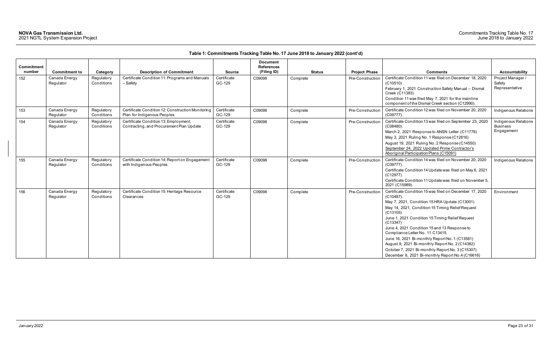|                      |                            |                          |                                                                                   |                       | <b>Document</b>                  |               |                      |                                                                                                                                                                                                                                                                                                                                                                                                                                                                                                                                                           |                                                       |
|----------------------|----------------------------|--------------------------|-----------------------------------------------------------------------------------|-----------------------|----------------------------------|---------------|----------------------|-----------------------------------------------------------------------------------------------------------------------------------------------------------------------------------------------------------------------------------------------------------------------------------------------------------------------------------------------------------------------------------------------------------------------------------------------------------------------------------------------------------------------------------------------------------|-------------------------------------------------------|
| Commitment<br>number | <b>Commitment to</b>       | Category                 | <b>Description of Commitment</b>                                                  | <b>Source</b>         | <b>References</b><br>(Filing ID) | <b>Status</b> | <b>Project Phase</b> | <b>Comments</b>                                                                                                                                                                                                                                                                                                                                                                                                                                                                                                                                           | <b>Accountability</b>                                 |
| 152                  | Canada Energy<br>Regulator | Regulatory<br>Conditions | Certificate Condition 11: Programs and Manuals<br>- Safety                        | Certificate<br>GC-129 | C09098                           | Complete      | Pre-Construction     | Certificate Condition 11 was filed on December 18, 2020<br>(C10510)<br>February 1, 2021 Construction Safety Manual - Dismal<br>Creek (C11383)<br>Condition 11 was filed May 7, 2021 for the mainline<br>component of the Dismal Creek section (C12990).                                                                                                                                                                                                                                                                                                   | Project Manager /<br>Safety<br>Representative         |
| 153                  | Canada Energy<br>Regulator | Regulatory<br>Conditions | Certificate Condition 12: Construction Monitoring<br>Plan for Indigenous Peoples  | Certificate<br>GC-129 | C09098                           | Complete      | Pre-Construction     | Certificate Condition 12 was filed on November 20, 2020<br>(C09777)                                                                                                                                                                                                                                                                                                                                                                                                                                                                                       | Indigenous Relations                                  |
| 154                  | Canada Energy<br>Regulator | Regulatory<br>Conditions | Certificate Condition 13: Employment,<br>Contracting, and Procurement Plan Update | Certificate<br>GC-129 | C09098                           | Complete      | Pre-Construction     | Certificate Condition 13 was filed on September 23, 2020<br>$(C08480)$ .<br>March 2, 2021 Response to ANSN Letter (C11778)<br>May 3, 2021 Ruling No. 1 Response (C12816)<br>August 19, 2021 Ruling No. 2 Response (C14550)<br>September 24, 2022 Updated Prime Contractor's<br>Aboriginal Participation Plans (C15091)                                                                                                                                                                                                                                    | Indigenous Relations<br><b>Business</b><br>Engagement |
| 155                  | Canada Energy<br>Regulator | Regulatory<br>Conditions | Certificate Condition 14: Report on Engagement<br>with Indigenous Peoples         | Certificate<br>GC-129 | C09098                           | Complete      | Pre-Construction     | Certificate Condition 14 was filed on November 20, 2020<br>$(C09777)$ .<br>Certificate Condition 14 Update was filed on May 6, 2021<br>(C12977).<br>Certificate Condition 11 Update was filed on November 5,<br>2021 (C15989).                                                                                                                                                                                                                                                                                                                            | Indigenous Relations                                  |
| 156                  | Canada Energy<br>Regulator | Regulatory<br>Conditions | Certificate Condition 15: Heritage Resource<br>Clearances                         | Certificate<br>GC-129 | C09098                           | Complete      | Pre-Construction     | Certificate Condition 15 was filed on December 17, 2020<br>$(C10487)$ .<br>May 7, 2021, Condition 15 HRA Update (C13001)<br>May 14, 2021, Condition 15 Timing Relief Request<br>(C13105)<br>June 1, 2021 Condition 15 Timing Relief Request<br>(C13347)<br>June 4, 2021 Condition 15 and 13 Response to<br>Compliance Letter No. 11 C13415.<br>June 16, 2021 Bi-monthly Report No. 1 (C13581)<br>August 9, 2021 Bi-monthly Report No. 2 (C14382)<br>October 7, 2021 Bi-monthly Report No. 3 (C15307).<br>December 8, 2021 Bi-monthly Report No.4 (C16616) | Environment                                           |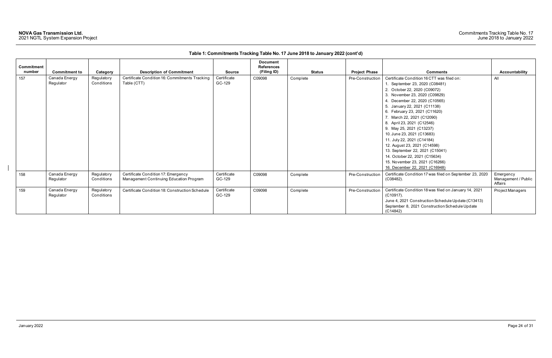| <b>Commitment</b> |                            |                          |                                                                                |                       | <b>Document</b><br><b>References</b> |               |                      |                                                                                                                                                                                                                                                                                                                                                                                                                                                                                                                                                                             |                                             |
|-------------------|----------------------------|--------------------------|--------------------------------------------------------------------------------|-----------------------|--------------------------------------|---------------|----------------------|-----------------------------------------------------------------------------------------------------------------------------------------------------------------------------------------------------------------------------------------------------------------------------------------------------------------------------------------------------------------------------------------------------------------------------------------------------------------------------------------------------------------------------------------------------------------------------|---------------------------------------------|
| number            | <b>Commitment to</b>       | Category                 | <b>Description of Commitment</b>                                               | <b>Source</b>         | (Filing ID)                          | <b>Status</b> | <b>Project Phase</b> | <b>Comments</b>                                                                                                                                                                                                                                                                                                                                                                                                                                                                                                                                                             | <b>Accountability</b>                       |
| 157               | Canada Energy<br>Regulator | Regulatory<br>Conditions | Certificate Condition 16: Commitments Tracking<br>Table (CTT)                  | Certificate<br>GC-129 | C09098                               | Complete      | Pre-Construction     | Certificate Condition 16 CTT was filed on:<br>1. September 23, 2020 (C08481)<br>2. October 22, 2020 (C09072)<br>3. November 23, 2020 (C09829)<br>4. December 22, 2020 (C10565)<br>5. January 22, 2021 (C11138)<br>6. February 23, 2021 (C11620)<br>7. March 22, 2021 (C12090)<br>8. April 23, 2021 (C12546)<br>9. May 25, 2021 (C13237)<br>10. June 23, 2021 (C13683)<br>11. July 22, 2021 (C14184)<br>12. August 23, 2021 (C14598)<br>13. September 22, 2021 (C15041)<br>14. October 22, 2021 (C15634)<br>15. November 23, 2021 (C16266)<br>16. December 22, 2021 (C16948) | All                                         |
| 158               | Canada Energy<br>Regulator | Regulatory<br>Conditions | Certificate Condition 17: Emergency<br>Management Continuing Education Program | Certificate<br>GC-129 | C09098                               | Complete      | Pre-Construction     | Certificate Condition 17 was filed on September 23, 2020<br>$(C08482)$ .                                                                                                                                                                                                                                                                                                                                                                                                                                                                                                    | Emergency<br>Management / Public<br>Affairs |
| 159               | Canada Energy<br>Regulator | Regulatory<br>Conditions | Certificate Condition 18: Construction Schedule                                | Certificate<br>GC-129 | C09098                               | Complete      | Pre-Construction     | Certificate Condition 18 was filed on January 14, 2021<br>$(C10917)$ .<br>June 4, 2021 Construction Schedule Update (C13413)<br>September 8, 2021 Construction Schedule Update<br>(C14842)                                                                                                                                                                                                                                                                                                                                                                                  | Project Managers                            |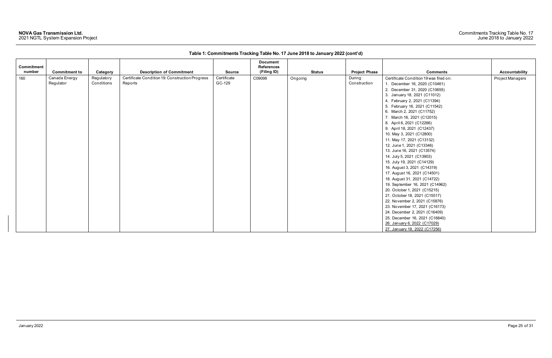| Commitment<br>number | <b>Commitment to</b> | Category   | <b>Description of Commitment</b>                | <b>Source</b> | <b>Document</b><br><b>References</b><br>(Filing ID) | <b>Status</b> | <b>Project Phase</b> | <b>Comments</b>                        | Accountability   |
|----------------------|----------------------|------------|-------------------------------------------------|---------------|-----------------------------------------------------|---------------|----------------------|----------------------------------------|------------------|
| 160                  | Canada Energy        | Regulatory | Certificate Condition 19: Construction Progress | Certificate   | C09098                                              | Ongoing       | During               | Certificate Condition 19 was filed on: | Project Managers |
|                      | Regulator            | Conditions | Reports                                         | GC-129        |                                                     |               | Construction         | 1. December 16, 2020 (C10461)          |                  |
|                      |                      |            |                                                 |               |                                                     |               |                      | 2. December 31, 2020 (C10655)          |                  |
|                      |                      |            |                                                 |               |                                                     |               |                      | 3. January 18, 2021 (C11012)           |                  |
|                      |                      |            |                                                 |               |                                                     |               |                      |                                        |                  |
|                      |                      |            |                                                 |               |                                                     |               |                      | 4. February 2, 2021 (C11394)           |                  |
|                      |                      |            |                                                 |               |                                                     |               |                      | 5. February 16, 2021 (C11542)          |                  |
|                      |                      |            |                                                 |               |                                                     |               |                      | 6. March 2, 2021 (C11752)              |                  |
|                      |                      |            |                                                 |               |                                                     |               |                      | 7. March 16, 2021 (C12015)             |                  |
|                      |                      |            |                                                 |               |                                                     |               |                      | 8. April 6, 2021 (C12266)              |                  |
|                      |                      |            |                                                 |               |                                                     |               |                      | 9. April 18, 2021 (C12437)             |                  |
|                      |                      |            |                                                 |               |                                                     |               |                      | 10. May 3, 2021 (C12800)               |                  |
|                      |                      |            |                                                 |               |                                                     |               |                      | 11. May 17, 2021 (C13132)              |                  |
|                      |                      |            |                                                 |               |                                                     |               |                      | 12. June 1, 2021 (C13346)              |                  |
|                      |                      |            |                                                 |               |                                                     |               |                      | 13. June 16, 2021 (C13574)             |                  |
|                      |                      |            |                                                 |               |                                                     |               |                      | 14. July 5, 2021 (C13903)              |                  |
|                      |                      |            |                                                 |               |                                                     |               |                      | 15. July 19, 2021 (C14129)             |                  |
|                      |                      |            |                                                 |               |                                                     |               |                      | 16. August 3, 2021 (C14319)            |                  |
|                      |                      |            |                                                 |               |                                                     |               |                      | 17. August 16, 2021 (C14501)           |                  |
|                      |                      |            |                                                 |               |                                                     |               |                      | 18. August 31, 2021 (C14722)           |                  |
|                      |                      |            |                                                 |               |                                                     |               |                      | 19. September 16, 2021 (C14962)        |                  |
|                      |                      |            |                                                 |               |                                                     |               |                      | 20. October 1, 2021 (C15215)           |                  |
|                      |                      |            |                                                 |               |                                                     |               |                      | 21. October 18, 2021 (C15517)          |                  |
|                      |                      |            |                                                 |               |                                                     |               |                      | 22. November 2, 2021 (C15876)          |                  |
|                      |                      |            |                                                 |               |                                                     |               |                      | 23. November 17, 2021 (C16173)         |                  |
|                      |                      |            |                                                 |               |                                                     |               |                      | 24. December 2, 2021 (C16409)          |                  |
|                      |                      |            |                                                 |               |                                                     |               |                      | 25. December 16, 2021 (C16840)         |                  |
|                      |                      |            |                                                 |               |                                                     |               |                      | 26. January 6, 2022 (C17029)           |                  |
|                      |                      |            |                                                 |               |                                                     |               |                      | 27. January 18, 2022 (C17256)          |                  |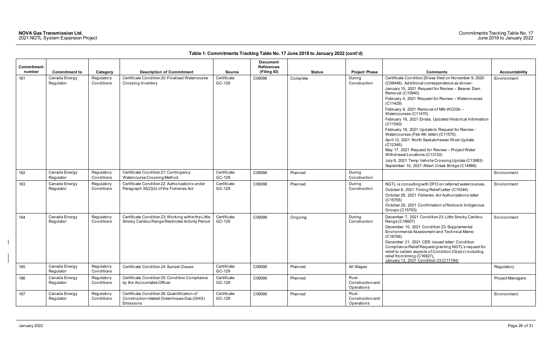| <b>Commitment</b><br>number | <b>Commitment to</b>       | Category                 | <b>Description of Commitment</b>                                                                      | <b>Source</b>         | <b>Document</b><br><b>References</b><br>(Filing ID) | <b>Status</b> | <b>Project Phase</b>                    | <b>Comments</b>                                                                                                                                                                                                                                                                                                                                                                                                                                                                                                                                                                                                                                                                                                                                            | Accountability   |
|-----------------------------|----------------------------|--------------------------|-------------------------------------------------------------------------------------------------------|-----------------------|-----------------------------------------------------|---------------|-----------------------------------------|------------------------------------------------------------------------------------------------------------------------------------------------------------------------------------------------------------------------------------------------------------------------------------------------------------------------------------------------------------------------------------------------------------------------------------------------------------------------------------------------------------------------------------------------------------------------------------------------------------------------------------------------------------------------------------------------------------------------------------------------------------|------------------|
| 161                         | Canada Energy<br>Regulator | Regulatory<br>Conditions | Certificate Condition 20: Finalized Watercourse<br>Crossing Inventory                                 | Certificate<br>GC-129 | C09098                                              | Complete      | During<br>Construction                  | Certificate Condition 20 was filed on November 9, 2020<br>(C09448). Additional correspondence as shown:<br>January 15, 2021 Request for Review - Beaver Dam<br>Removal (C10940)<br>February 4, 2021 Request for Review - Watercourses<br>(C11429)<br>February 9, 2021 Removal of MN-WC03A -<br>Watercourses (C11470)<br>February 16, 2021 Errata: Updated Historical Information<br>(C11540)<br>February 18, 2021 Update to Request for Review -<br>Watercourses (Feb 4th letter) (C11570).<br>April 12, 2021 North Saskatchewan River Update<br>$(C12346)$ .<br>May 17, 2021 Request for Review - Project Water<br>Withdrawal Locations (C13133)<br>July 8, 2021 Temp Vehicle Crossing Update (C13983)<br>September 10, 2021 Albert Creek Bridge (C14866) | Environment      |
| 162                         | Canada Energy<br>Regulator | Regulatory<br>Conditions | Certificate Condition 21: Contingency<br>Watercourse Crossing Method                                  | Certificate<br>GC-129 | C09098                                              | Planned       | During<br>Construction                  |                                                                                                                                                                                                                                                                                                                                                                                                                                                                                                                                                                                                                                                                                                                                                            | Environment      |
| 163                         | Canada Energy<br>Regulator | Regulatory<br>Conditions | Certificate Condition 22: Authorizations under<br>Paragraph 35(2)(b) of the Fisheries Act             | Certificate<br>GC-129 | C09098                                              | Planned       | During<br>Construction                  | NGTL is consulting with DFO on referred watercourses.<br>October 8, 2021 Timing Relief Letter (C15344)<br>October 28, 2021 Fisheries Act Authorizations letter<br>(C15755)<br>October 29, 2021 Confirmation of Notice to Indigenous<br>Groups (C15793)                                                                                                                                                                                                                                                                                                                                                                                                                                                                                                     | Environment      |
| 164                         | Canada Energy<br>Regulator | Regulatory<br>Conditions | Certificate Condition 23: Working within the Little<br>Smoky Caribou Range Restricted Activity Period | Certificate<br>GC-129 | C09098                                              | Ongoing       | During<br>Construction                  | December 7, 2021 Condition 23: Little Smoky Caribou<br>Range (C16607)<br>December 10, 2021 Condition 23: Supplemental<br>Environmental Assessment and Technical Memo<br>(C16706)<br>December 21, 2021 CER issued letter: Condition<br>Compliance Relief Request granting NGTL's request for<br>relief to certain aspects of Condition 23(a)(v) including<br>relief from timing (C16927).<br>January 13, 2021 Condition 23 (C17194)                                                                                                                                                                                                                                                                                                                         | Environment      |
| 165                         | Canada Energy<br>Regulator | Regulatory<br>Conditions | Certificate Condition 24: Sunset Clause                                                               | Certificate<br>GC-129 | C09098                                              | Planned       | All Stages                              |                                                                                                                                                                                                                                                                                                                                                                                                                                                                                                                                                                                                                                                                                                                                                            | Regulatory       |
| 166                         | Canada Energy<br>Regulator | Regulatory<br>Conditions | Certificate Condition 25: Condition Compliance<br>by the Accountable Officer                          | Certificate<br>GC-129 | C09098                                              | Planned       | Post-<br>Construction and<br>Operations |                                                                                                                                                                                                                                                                                                                                                                                                                                                                                                                                                                                                                                                                                                                                                            | Project Managers |
| 167                         | Canada Energy<br>Regulator | Regulatory<br>Conditions | Certificate Condition 26: Quantification of<br>Construction-related Greenhouse Gas (GHG)<br>Emissions | Certificate<br>GC-129 | C09098                                              | Planned       | Post-<br>Construction and<br>Operations |                                                                                                                                                                                                                                                                                                                                                                                                                                                                                                                                                                                                                                                                                                                                                            | Environment      |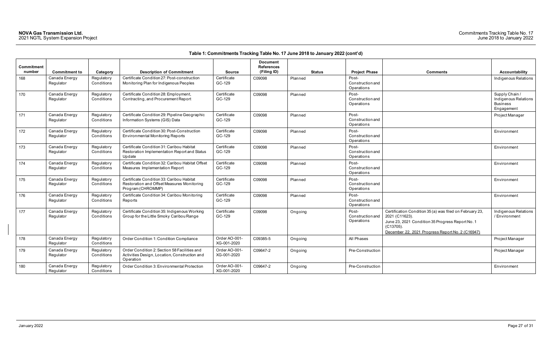| <b>Comments</b>                                                                                                                                                                                 | <b>Accountability</b>                                                   |
|-------------------------------------------------------------------------------------------------------------------------------------------------------------------------------------------------|-------------------------------------------------------------------------|
|                                                                                                                                                                                                 | Indigenous Relations                                                    |
|                                                                                                                                                                                                 | Supply Chain /<br>Indigenous Relations<br><b>Business</b><br>Engagement |
|                                                                                                                                                                                                 | Project Manager                                                         |
|                                                                                                                                                                                                 | Environment                                                             |
|                                                                                                                                                                                                 | Environment                                                             |
|                                                                                                                                                                                                 | Environment                                                             |
|                                                                                                                                                                                                 | Environment                                                             |
|                                                                                                                                                                                                 | Environment                                                             |
| Certification Condition 35 (a) was filed on February 23,<br>2021 (C11623).<br>June 23, 2021 Condition 35 Progress Report No. 1<br>(C13705).<br>December 22, 2021 Progress Report No. 2 (C16947) | Indigenous Relations<br>/Environment                                    |
|                                                                                                                                                                                                 | Project Manager                                                         |
|                                                                                                                                                                                                 | Project Manager                                                         |
|                                                                                                                                                                                                 | Environment                                                             |

| Commitment<br>number | <b>Commitment to</b>       | Category                 | <b>Description of Commitment</b>                                                                             | <b>Source</b>                | <b>Document</b><br><b>References</b><br>(Filing ID) | <b>Status</b> | <b>Project Phase</b>                    | <b>Comments</b>                                                                                                                                                                                    | Accountability                                                        |
|----------------------|----------------------------|--------------------------|--------------------------------------------------------------------------------------------------------------|------------------------------|-----------------------------------------------------|---------------|-----------------------------------------|----------------------------------------------------------------------------------------------------------------------------------------------------------------------------------------------------|-----------------------------------------------------------------------|
| 168                  | Canada Energy<br>Regulator | Regulatory<br>Conditions | Certificate Condition 27: Post-construction<br>Monitoring Plan for Indigenous Peoples                        | Certificate<br>GC-129        | C09098                                              | Planned       | Post-<br>Construction and<br>Operations |                                                                                                                                                                                                    | Indigenous Relatio                                                    |
| 170                  | Canada Energy<br>Regulator | Regulatory<br>Conditions | Certificate Condition 28: Employment,<br>Contracting, and Procurement Report                                 | Certificate<br>GC-129        | C09098                                              | Planned       | Post-<br>Construction and<br>Operations |                                                                                                                                                                                                    | Supply Chain /<br>Indigenous Relatio<br><b>Business</b><br>Engagement |
| 171                  | Canada Energy<br>Regulator | Regulatory<br>Conditions | Certificate Condition 29: Pipeline Geographic<br>Information Systems (GIS) Data                              | Certificate<br>GC-129        | C09098                                              | Planned       | Post-<br>Construction and<br>Operations |                                                                                                                                                                                                    | Project Manager                                                       |
| 172                  | Canada Energy<br>Regulator | Regulatory<br>Conditions | Certificate Condition 30: Post-Construction<br><b>Environmental Monitoring Reports</b>                       | Certificate<br>GC-129        | C09098                                              | Planned       | Post-<br>Construction and<br>Operations |                                                                                                                                                                                                    | Environment                                                           |
| 173                  | Canada Energy<br>Regulator | Regulatory<br>Conditions | Certificate Condition 31: Caribou Habitat<br>Restoration Implementation Report and Status<br>Update          | Certificate<br>GC-129        | C09098                                              | Planned       | Post-<br>Construction and<br>Operations |                                                                                                                                                                                                    | Environment                                                           |
| 174                  | Canada Energy<br>Regulator | Regulatory<br>Conditions | Certificate Condition 32: Caribou Habitat Offset<br>Measures Implementation Report                           | Certificate<br>GC-129        | C09098                                              | Planned       | Post-<br>Construction and<br>Operations |                                                                                                                                                                                                    | Environment                                                           |
| 175                  | Canada Energy<br>Regulator | Regulatory<br>Conditions | Certificate Condition 33: Caribou Habitat<br>Restoration and Offset Measures Monitoring<br>Program (CHROMMP) | Certificate<br>GC-129        | C09098                                              | Planned       | Post-<br>Construction and<br>Operations |                                                                                                                                                                                                    | Environment                                                           |
| 176                  | Canada Energy<br>Regulator | Regulatory<br>Conditions | Certificate Condition 34: Caribou Monitoring<br>Reports                                                      | Certificate<br>GC-129        | C09098                                              | Planned       | Post-<br>Construction and<br>Operations |                                                                                                                                                                                                    | Environment                                                           |
| 177                  | Canada Energy<br>Regulator | Regulatory<br>Conditions | Certificate Condition 35: Indigenous Working<br>Group for the Little Smoky Caribou Range                     | Certificate<br>GC-129        | C09098                                              | Ongoing       | Post-<br>Construction and<br>Operations | Certification Condition 35 (a) was filed on February 23,<br>2021 (C11623).<br>June 23, 2021 Condition 35 Progress Report No. 1<br>$(C13705)$ .<br>December 22, 2021 Progress Report No. 2 (C16947) | Indigenous Relatio<br>/ Environment                                   |
| 178                  | Canada Energy<br>Regulator | Regulatory<br>Conditions | Order Condition 1: Condition Compliance                                                                      | Order AO-001-<br>XG-001-2020 | C09385-5                                            | Ongoing       | All Phases                              |                                                                                                                                                                                                    | Project Manager                                                       |
| 179                  | Canada Energy<br>Regulator | Regulatory<br>Conditions | Order Condition 2: Section 58 Facilities and<br>Activities Design, Location, Construction and<br>Operation   | Order AO-001-<br>XG-001-2020 | C09647-2                                            | Ongoing       | Pre-Construction                        |                                                                                                                                                                                                    | Project Manager                                                       |
| 180                  | Canada Energy<br>Regulator | Regulatory<br>Conditions | Order Condition 3: Environmental Protection                                                                  | Order AO-001-<br>XG-001-2020 | C09647-2                                            | Ongoing       | Pre-Construction                        |                                                                                                                                                                                                    | Environment                                                           |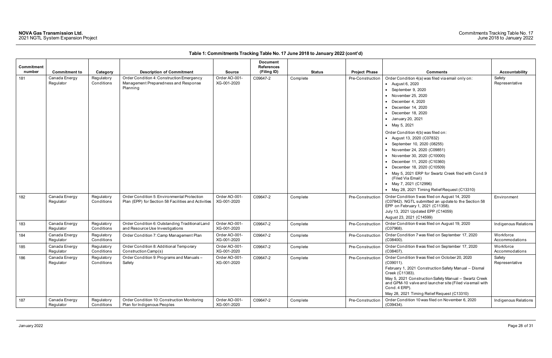| Commitment<br>number | <b>Commitment to</b>       | Category                 | <b>Description of Commitment</b>                                                                   | <b>Source</b>                | <b>Document</b><br><b>References</b><br>(Filing ID) | <b>Status</b> | <b>Project Phase</b> | <b>Comments</b>                                                                                                                                                                                                                                                                                                                                                                                                                                                                                                                                                                                                                | Accountability              |
|----------------------|----------------------------|--------------------------|----------------------------------------------------------------------------------------------------|------------------------------|-----------------------------------------------------|---------------|----------------------|--------------------------------------------------------------------------------------------------------------------------------------------------------------------------------------------------------------------------------------------------------------------------------------------------------------------------------------------------------------------------------------------------------------------------------------------------------------------------------------------------------------------------------------------------------------------------------------------------------------------------------|-----------------------------|
| 181                  | Canada Energy<br>Regulator | Regulatory<br>Conditions | Order Condition 4: Construction Emergency<br>Management Preparedness and Response<br>Planning      | Order AO-001-<br>XG-001-2020 | C09647-2                                            | Complete      | Pre-Construction     | Order Condition 4(a) was filed via email only on:<br>• August 6, 2020<br>September 9, 2020<br>• November 25, 2020<br>December 4, 2020<br>• December 14, 2020<br>$\bullet$ December 18, 2020<br>• January 20, 2021<br>• May 5, 2021<br>Order Condition 4(b) was filed on:<br>• August 13, 2020 (C07832)<br>• September 10, 2020 (08255)<br>• November 24, 2020 (C09851)<br>• November 30, 2020 (C10000)<br>• December 11, 2020 (C10360)<br>• December 18, 2020 (C10509)<br>• May 5, 2021 ERP for Swartz Creek filed with Cond.9<br>(Filed Via Email)<br>• May 7, 2021 (C12996)<br>• May 28, 2021 Timing Relief Request (C13310) | Safety<br>Representative    |
| 182                  | Canada Energy<br>Regulator | Regulatory<br>Conditions | Order Condition 5: Environmental Protection<br>Plan (EPP) for Section 58 Facilities and Activities | Order AO-001-<br>XG-001-2020 | C09647-2                                            | Complete      | Pre-Construction     | Order Condition 5 was filed on August 14, 2020<br>(C07842). NGTL submitted an update to the Section 58<br>EPP on February 1, 2021 (C11358).<br>July 13, 2021 Updated EPP (C14059)<br>August 23, 2021 (C14599)                                                                                                                                                                                                                                                                                                                                                                                                                  | Environment                 |
| 183                  | Canada Energy<br>Regulator | Regulatory<br>Conditions | Order Condition 6: Outstanding Traditional Land<br>and Resource Use Investigations                 | Order AO-001-<br>XG-001-2020 | C09647-2                                            | Complete      | Pre-Construction     | Order Condition 6 was filed on August 19, 2020<br>(C07968).                                                                                                                                                                                                                                                                                                                                                                                                                                                                                                                                                                    | Indigenous Relations        |
| 184                  | Canada Energy<br>Regulator | Regulatory<br>Conditions | Order Condition 7: Camp Management Plan                                                            | Order AO-001-<br>XG-001-2020 | C09647-2                                            | Complete      | Pre-Construction     | Order Condition 7 was filed on September 17, 2020<br>$(C08400)$ .                                                                                                                                                                                                                                                                                                                                                                                                                                                                                                                                                              | Workforce<br>Accommodations |
| 185                  | Canada Energy<br>Regulator | Regulatory<br>Conditions | Order Condition 8: Additional Temporary<br>Construction Camp(s)                                    | Order AO-001-<br>XG-001-2020 | C09647-2                                            | Complete      | Pre-Construction     | Order Condition 8 was filed on September 17, 2020<br>$(C08407)$ .                                                                                                                                                                                                                                                                                                                                                                                                                                                                                                                                                              | Workforce<br>Accommodations |
| 186                  | Canada Energy<br>Regulator | Regulatory<br>Conditions | Order Condition 9: Programs and Manuals-<br>Safety                                                 | Order AO-001-<br>XG-001-2020 | C09647-2                                            | Complete      | Pre-Construction     | Order Condition 9 was filed on October 20, 2020<br>(C09011).<br>February 1, 2021 Construction Safety Manual - Dismal<br>Creek (C11383).<br>May 5, 2021 Construction Safety Manual - Swartz Creek<br>and GPM-10 valve and launcher site (Filed via email with<br>Cond. 4 ERP).<br>May 28, 2021 Timing Relief Request (C13310)                                                                                                                                                                                                                                                                                                   | Safety<br>Representative    |
| 187                  | Canada Energy<br>Regulator | Regulatory<br>Conditions | Order Condition 10: Construction Monitoring<br>Plan for Indigenous Peoples                         | Order AO-001-<br>XG-001-2020 | C09647-2                                            | Complete      | Pre-Construction     | Order Condition 10 was filed on November 6, 2020<br>$(C09434)$ .                                                                                                                                                                                                                                                                                                                                                                                                                                                                                                                                                               | Indigenous Relations        |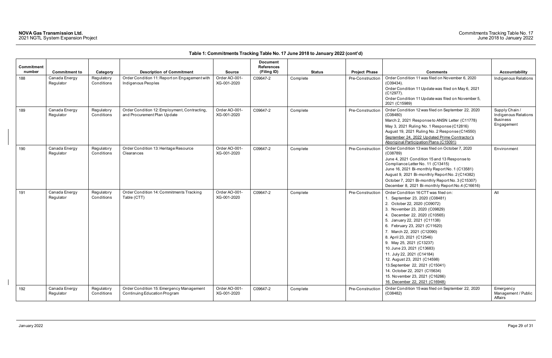|                      |                            |                          |                                                                             |                              | <b>Document</b>                  |               |                      |                                                                                                                                                                                                                                                                                                                                                                                                                                                                                                                                                                       |                                                                         |
|----------------------|----------------------------|--------------------------|-----------------------------------------------------------------------------|------------------------------|----------------------------------|---------------|----------------------|-----------------------------------------------------------------------------------------------------------------------------------------------------------------------------------------------------------------------------------------------------------------------------------------------------------------------------------------------------------------------------------------------------------------------------------------------------------------------------------------------------------------------------------------------------------------------|-------------------------------------------------------------------------|
| Commitment<br>number | <b>Commitment to</b>       | Category                 | <b>Description of Commitment</b>                                            | <b>Source</b>                | <b>References</b><br>(Filing ID) | <b>Status</b> | <b>Project Phase</b> | <b>Comments</b>                                                                                                                                                                                                                                                                                                                                                                                                                                                                                                                                                       | <b>Accountability</b>                                                   |
| 188                  | Canada Energy<br>Regulator | Regulatory<br>Conditions | Order Condition 11: Report on Engagement with<br>Indigenous Peoples         | Order AO-001-<br>XG-001-2020 | C09647-2                         | Complete      | Pre-Construction     | Order Condition 11 was filed on November 6, 2020<br>$(C09434)$ .<br>Order Condition 11 Update was filed on May 6, 2021<br>$(C12977)$ .<br>Order Condition 11 Update was filed on November 5,<br>2021 (C15989)                                                                                                                                                                                                                                                                                                                                                         | Indigenous Relations                                                    |
| 189                  | Canada Energy<br>Regulator | Regulatory<br>Conditions | Order Condition 12: Employment, Contracting,<br>and Procurement Plan Update | Order AO-001-<br>XG-001-2020 | C09647-2                         | Complete      | Pre-Construction     | Order Condition 12 was filed on September 22, 2020<br>(C08480)<br>March 2, 2021 Response to ANSN Letter (C11778)<br>May 3, 2021 Ruling No. 1 Response (C12816)<br>August 19, 2021 Ruling No. 2 Response (C14550)<br>September 24, 2022 Updated Prime Contractor's<br>Aboriginal Participation Plans (C15091)                                                                                                                                                                                                                                                          | Supply Chain /<br>Indigenous Relations<br><b>Business</b><br>Engagement |
| 190                  | Canada Energy<br>Regulator | Regulatory<br>Conditions | Order Condition 13: Heritage Resource<br>Clearances                         | Order AO-001-<br>XG-001-2020 | C09647-2                         | Complete      | Pre-Construction     | Order Condition 13 was filed on October 7, 2020<br>(C08789)<br>June 4, 2021 Condition 15 and 13 Response to<br>Compliance Letter No. 11 (C13415)<br>June 16, 2021 Bi-monthly Report No. 1 (C13581)<br>August 9, 2021 Bi-monthly Report No. 2 (C14382)<br>October 7, 2021 Bi-monthly Report No. 3 (C15307)<br>December 8, 2021 Bi-monthly Report No.4 (C16616)                                                                                                                                                                                                         | Environment                                                             |
| 191                  | Canada Energy<br>Regulator | Regulatory<br>Conditions | Order Condition 14: Commitments Tracking<br>Table (CTT)                     | Order AO-001-<br>XG-001-2020 | C09647-2                         | Complete      | Pre-Construction     | Order Condition 16 CTT was filed on:<br>1. September 23, 2020 (C08481)<br>2. October 22, 2020 (C09072)<br>3. November 23, 2020 (C09829)<br>4. December 22, 2020 (C10565)<br>5. January 22, 2021 (C11138)<br>6. February 23, 2021 (C11620)<br>7. March 22, 2021 (C12090)<br>8. April 23, 2021 (C12546)<br>9. May 25, 2021 (C13237)<br>10. June 23, 2021 (C13683)<br>11. July 22, 2021 (C14184)<br>12. August 23, 2021 (C14598)<br>13. September 22, 2021 (C15041)<br>14. October 22, 2021 (C15634)<br>15. November 23, 2021 (C16266)<br>16. December 22, 2021 (C16948) | All                                                                     |
| 192                  | Canada Energy<br>Regulator | Regulatory<br>Conditions | Order Condition 15: Emergency Management<br>Continuing Education Program    | Order AO-001-<br>XG-001-2020 | C09647-2                         | Complete      | Pre-Construction     | Order Condition 15 was filed on September 22, 2020<br>(C08482)                                                                                                                                                                                                                                                                                                                                                                                                                                                                                                        | Emergency<br>Management / Public<br>Affairs                             |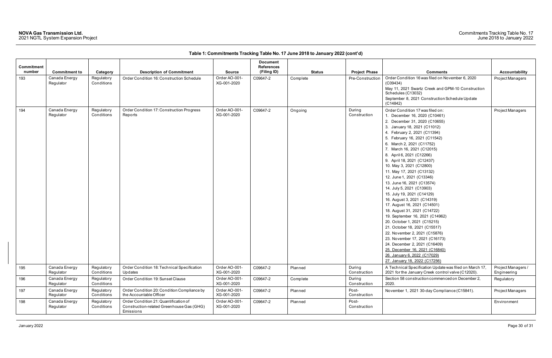| Commitment<br>number | <b>Commitment to</b>       | Category                 | <b>Description of Commitment</b>                                                                | <b>Source</b>                | <b>Document</b><br><b>References</b><br>(Filing ID) | <b>Status</b> | <b>Project Phase</b>   | <b>Comments</b>                                                                                                                                                                                                                                                                                                                                                                                                                                                                                                                                                                                                                                                                                                                                                                                                                                                                                                    | <b>Accountability</b>             |
|----------------------|----------------------------|--------------------------|-------------------------------------------------------------------------------------------------|------------------------------|-----------------------------------------------------|---------------|------------------------|--------------------------------------------------------------------------------------------------------------------------------------------------------------------------------------------------------------------------------------------------------------------------------------------------------------------------------------------------------------------------------------------------------------------------------------------------------------------------------------------------------------------------------------------------------------------------------------------------------------------------------------------------------------------------------------------------------------------------------------------------------------------------------------------------------------------------------------------------------------------------------------------------------------------|-----------------------------------|
| 193                  | Canada Energy<br>Regulator | Regulatory<br>Conditions | Order Condition 16: Construction Schedule                                                       | Order AO-001-<br>XG-001-2020 | C09647-2                                            | Complete      | Pre-Construction       | Order Condition 16 was filed on November 6, 2020<br>(C09434)<br>May 11, 2021 Swartz Creek and GPM-10 Construction<br>Schedules (C13032)<br>September 8, 2021 Construction Schedule Update<br>(C14842)                                                                                                                                                                                                                                                                                                                                                                                                                                                                                                                                                                                                                                                                                                              | Project Managers                  |
| 194                  | Canada Energy<br>Regulator | Regulatory<br>Conditions | Order Condition 17: Construction Progress<br>Reports                                            | Order AO-001-<br>XG-001-2020 | C09647-2                                            | Ongoing       | During<br>Construction | Order Condition 17 was filed on:<br>1. December 16, 2020 (C10461)<br>2. December 31, 2020 (C10655)<br>3. January 18, 2021 (C11012)<br>4. February 2, 2021 (C11394)<br>5. February 16, 2021 (C11542)<br>6. March 2, 2021 (C11752)<br>7. March 16, 2021 (C12015)<br>8. April 6, 2021 (C12266)<br>9. April 18, 2021 (C12437)<br>10. May 3, 2021 (C12800)<br>11. May 17, 2021 (C13132)<br>12. June 1, 2021 (C13346)<br>13. June 16, 2021 (C13574)<br>14. July 5, 2021 (C13903)<br>15. July 19, 2021 (C14129)<br>16. August 3, 2021 (C14319)<br>17. August 16, 2021 (C14501)<br>18. August 31, 2021 (C14722)<br>19. September 16, 2021 (C14962)<br>20. October 1, 2021 (C15215)<br>21. October 18, 2021 (C15517)<br>22. November 2, 2021 (C15876)<br>23. November 17, 2021 (C16173)<br>24. December 2, 2021 (C16409)<br>25. December 16, 2021 (C16840)<br>26. January 6, 2022 (C17029)<br>27. January 18, 2022 (C17256) | Project Managers                  |
| 195                  | Canada Energy<br>Regulator | Regulatory<br>Conditions | Order Condition 18: Technical Specification<br>Updates                                          | Order AO-001-<br>XG-001-2020 | C09647-2                                            | Planned       | During<br>Construction | A Technical Specification Update was filed on March 17,<br>2021 for the January Creek control valve (C12020).                                                                                                                                                                                                                                                                                                                                                                                                                                                                                                                                                                                                                                                                                                                                                                                                      | Project Managers /<br>Engineering |
| 196                  | Canada Energy<br>Regulator | Regulatory<br>Conditions | Order Condition 19: Sunset Clause                                                               | Order AO-001-<br>XG-001-2020 | C09647-2                                            | Complete      | During<br>Construction | Section 58 construction commenced on December 2,<br>2020.                                                                                                                                                                                                                                                                                                                                                                                                                                                                                                                                                                                                                                                                                                                                                                                                                                                          | Regulatory                        |
| 197                  | Canada Energy<br>Regulator | Regulatory<br>Conditions | Order Condition 20: Condition Compliance by<br>the Accountable Officer                          | Order AO-001-<br>XG-001-2020 | C09647-2                                            | Planned       | Post-<br>Construction  | November 1, 2021 30-day Compliance (C15841).                                                                                                                                                                                                                                                                                                                                                                                                                                                                                                                                                                                                                                                                                                                                                                                                                                                                       | Project Managers                  |
| 198                  | Canada Energy<br>Regulator | Regulatory<br>Conditions | Order Condition 21: Quantification of<br>Construction-related Greenhouse Gas (GHG)<br>Emissions | Order AO-001-<br>XG-001-2020 | C09647-2                                            | Planned       | Post-<br>Construction  |                                                                                                                                                                                                                                                                                                                                                                                                                                                                                                                                                                                                                                                                                                                                                                                                                                                                                                                    | Environment                       |